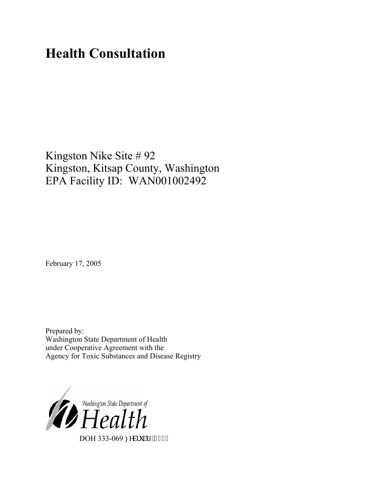# **Health Consultation**

# Kingston Nike Site # 92 Kingston, Kitsap County, Washington EPA Facility ID: WAN001002492

February 17, 2005

Prepared by: Washington State Department of Health under Cooperative Agreement with the Agency for Toxic Substances and Disease Registry

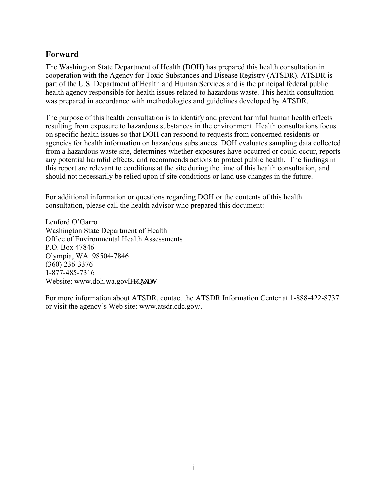## **Forward**

The Washington State Department of Health (DOH) has prepared this health consultation in cooperation with the Agency for Toxic Substances and Disease Registry (ATSDR). ATSDR is part of the U.S. Department of Health and Human Services and is the principal federal public health agency responsible for health issues related to hazardous waste. This health consultation was prepared in accordance with methodologies and guidelines developed by ATSDR.

The purpose of this health consultation is to identify and prevent harmful human health effects resulting from exposure to hazardous substances in the environment. Health consultations focus on specific health issues so that DOH can respond to requests from concerned residents or agencies for health information on hazardous substances. DOH evaluates sampling data collected from a hazardous waste site, determines whether exposures have occurred or could occur, reports any potential harmful effects, and recommends actions to protect public health. The findings in this report are relevant to conditions at the site during the time of this health consultation, and should not necessarily be relied upon if site conditions or land use changes in the future.

For additional information or questions regarding DOH or the contents of this health consultation, please call the health advisor who prepared this document:

Lenford O'Garro Washington State Department of Health Office of Environmental Health Assessments P.O. Box 47846 Olympia, WA 98504-7846 (360) 236-3376 1-877-485-7316 Website: [www.doh.wa.gov](http://www.doh.wa.gov/consults) leqpuww

For more information about ATSDR, contact the ATSDR Information Center at 1-888-422-8737 or visit the agency's Web site: www.atsdr.cdc.gov/.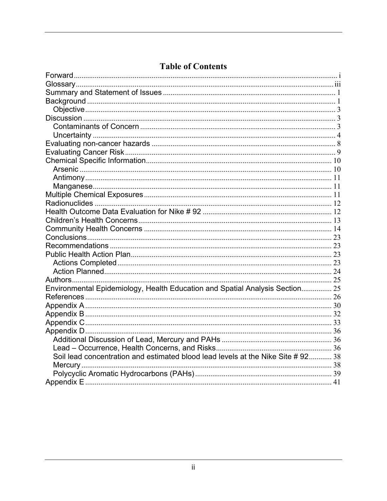# **Table of Contents**

| Environmental Epidemiology, Health Education and Spatial Analysis Section 25    |  |
|---------------------------------------------------------------------------------|--|
|                                                                                 |  |
|                                                                                 |  |
|                                                                                 |  |
|                                                                                 |  |
|                                                                                 |  |
|                                                                                 |  |
|                                                                                 |  |
| Soil lead concentration and estimated blood lead levels at the Nike Site #92 38 |  |
|                                                                                 |  |
|                                                                                 |  |
|                                                                                 |  |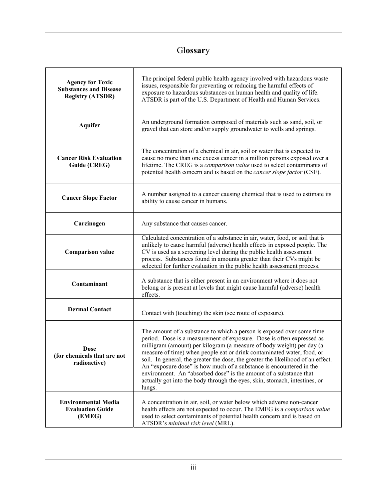# Gl**ossar**y

| <b>Agency for Toxic</b><br><b>Substances and Disease</b><br><b>Registry (ATSDR)</b> | The principal federal public health agency involved with hazardous waste<br>issues, responsible for preventing or reducing the harmful effects of<br>exposure to hazardous substances on human health and quality of life.<br>ATSDR is part of the U.S. Department of Health and Human Services.                                                                                                                                                                                                                                                                                                                          |
|-------------------------------------------------------------------------------------|---------------------------------------------------------------------------------------------------------------------------------------------------------------------------------------------------------------------------------------------------------------------------------------------------------------------------------------------------------------------------------------------------------------------------------------------------------------------------------------------------------------------------------------------------------------------------------------------------------------------------|
| <b>Aquifer</b>                                                                      | An underground formation composed of materials such as sand, soil, or<br>gravel that can store and/or supply groundwater to wells and springs.                                                                                                                                                                                                                                                                                                                                                                                                                                                                            |
| <b>Cancer Risk Evaluation</b><br>Guide (CREG)                                       | The concentration of a chemical in air, soil or water that is expected to<br>cause no more than one excess cancer in a million persons exposed over a<br>lifetime. The CREG is a comparison value used to select contaminants of<br>potential health concern and is based on the cancer slope factor (CSF).                                                                                                                                                                                                                                                                                                               |
| <b>Cancer Slope Factor</b>                                                          | A number assigned to a cancer causing chemical that is used to estimate its<br>ability to cause cancer in humans.                                                                                                                                                                                                                                                                                                                                                                                                                                                                                                         |
| Carcinogen                                                                          | Any substance that causes cancer.                                                                                                                                                                                                                                                                                                                                                                                                                                                                                                                                                                                         |
| <b>Comparison value</b>                                                             | Calculated concentration of a substance in air, water, food, or soil that is<br>unlikely to cause harmful (adverse) health effects in exposed people. The<br>CV is used as a screening level during the public health assessment<br>process. Substances found in amounts greater than their CVs might be<br>selected for further evaluation in the public health assessment process.                                                                                                                                                                                                                                      |
| Contaminant                                                                         | A substance that is either present in an environment where it does not<br>belong or is present at levels that might cause harmful (adverse) health<br>effects.                                                                                                                                                                                                                                                                                                                                                                                                                                                            |
| <b>Dermal Contact</b>                                                               | Contact with (touching) the skin (see route of exposure).                                                                                                                                                                                                                                                                                                                                                                                                                                                                                                                                                                 |
| <b>Dose</b><br>(for chemicals that are not<br>radioactive)                          | The amount of a substance to which a person is exposed over some time<br>period. Dose is a measurement of exposure. Dose is often expressed as<br>milligram (amount) per kilogram (a measure of body weight) per day (a<br>measure of time) when people eat or drink contaminated water, food, or<br>soil. In general, the greater the dose, the greater the likelihood of an effect.<br>An "exposure dose" is how much of a substance is encountered in the<br>environment. An "absorbed dose" is the amount of a substance that<br>actually got into the body through the eyes, skin, stomach, intestines, or<br>lungs. |
| <b>Environmental Media</b><br><b>Evaluation Guide</b><br>(EMEG)                     | A concentration in air, soil, or water below which adverse non-cancer<br>health effects are not expected to occur. The EMEG is a comparison value<br>used to select contaminants of potential health concern and is based on<br>ATSDR's minimal risk level (MRL).                                                                                                                                                                                                                                                                                                                                                         |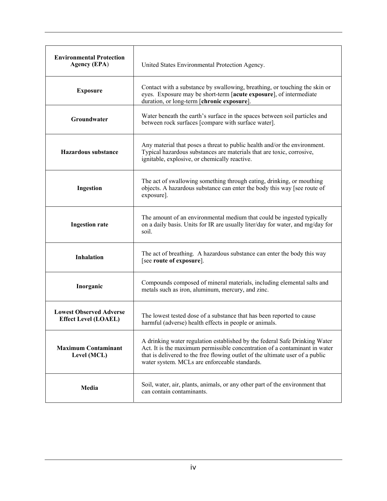| <b>Environmental Protection</b><br><b>Agency (EPA)</b>        | United States Environmental Protection Agency.                                                                                                                                                                                                                                             |
|---------------------------------------------------------------|--------------------------------------------------------------------------------------------------------------------------------------------------------------------------------------------------------------------------------------------------------------------------------------------|
| <b>Exposure</b>                                               | Contact with a substance by swallowing, breathing, or touching the skin or<br>eyes. Exposure may be short-term [acute exposure], of intermediate<br>duration, or long-term [chronic exposure].                                                                                             |
| Groundwater                                                   | Water beneath the earth's surface in the spaces between soil particles and<br>between rock surfaces [compare with surface water].                                                                                                                                                          |
| <b>Hazardous substance</b>                                    | Any material that poses a threat to public health and/or the environment.<br>Typical hazardous substances are materials that are toxic, corrosive,<br>ignitable, explosive, or chemically reactive.                                                                                        |
| Ingestion                                                     | The act of swallowing something through eating, drinking, or mouthing<br>objects. A hazardous substance can enter the body this way [see route of<br>exposure].                                                                                                                            |
| <b>Ingestion rate</b>                                         | The amount of an environmental medium that could be ingested typically<br>on a daily basis. Units for IR are usually liter/day for water, and mg/day for<br>soil.                                                                                                                          |
| <b>Inhalation</b>                                             | The act of breathing. A hazardous substance can enter the body this way<br>[see route of exposure].                                                                                                                                                                                        |
| Inorganic                                                     | Compounds composed of mineral materials, including elemental salts and<br>metals such as iron, aluminum, mercury, and zinc.                                                                                                                                                                |
| <b>Lowest Observed Adverse</b><br><b>Effect Level (LOAEL)</b> | The lowest tested dose of a substance that has been reported to cause<br>harmful (adverse) health effects in people or animals.                                                                                                                                                            |
| <b>Maximum Contaminant</b><br>Level (MCL)                     | A drinking water regulation established by the federal Safe Drinking Water<br>Act. It is the maximum permissible concentration of a contaminant in water<br>that is delivered to the free flowing outlet of the ultimate user of a public<br>water system. MCLs are enforceable standards. |
| Media                                                         | Soil, water, air, plants, animals, or any other part of the environment that<br>can contain contaminants.                                                                                                                                                                                  |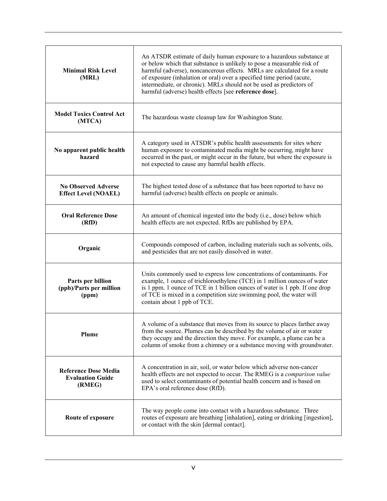| <b>Minimal Risk Level</b><br>(MRL)                               | An ATSDR estimate of daily human exposure to a hazardous substance at<br>or below which that substance is unlikely to pose a measurable risk of<br>harmful (adverse), noncancerous effects. MRLs are calculated for a route<br>of exposure (inhalation or oral) over a specified time period (acute,<br>intermediate, or chronic). MRLs should not be used as predictors of<br>harmful (adverse) health effects [see reference dose]. |
|------------------------------------------------------------------|---------------------------------------------------------------------------------------------------------------------------------------------------------------------------------------------------------------------------------------------------------------------------------------------------------------------------------------------------------------------------------------------------------------------------------------|
| <b>Model Toxics Control Act</b><br>(MTCA)                        | The hazardous waste cleanup law for Washington State.                                                                                                                                                                                                                                                                                                                                                                                 |
| No apparent public health<br>hazard                              | A category used in ATSDR's public health assessments for sites where<br>human exposure to contaminated media might be occurring, might have<br>occurred in the past, or might occur in the future, but where the exposure is<br>not expected to cause any harmful health effects.                                                                                                                                                     |
| <b>No Observed Adverse</b><br><b>Effect Level (NOAEL)</b>        | The highest tested dose of a substance that has been reported to have no<br>harmful (adverse) health effects on people or animals.                                                                                                                                                                                                                                                                                                    |
| <b>Oral Reference Dose</b><br>(RfD)                              | An amount of chemical ingested into the body (i.e., dose) below which<br>health effects are not expected. RfDs are published by EPA.                                                                                                                                                                                                                                                                                                  |
| Organic                                                          | Compounds composed of carbon, including materials such as solvents, oils,<br>and pesticides that are not easily dissolved in water.                                                                                                                                                                                                                                                                                                   |
| Parts per billion<br>(ppb)/Parts per million<br>(ppm)            | Units commonly used to express low concentrations of contaminants. For<br>example, 1 ounce of trichloroethylene (TCE) in 1 million ounces of water<br>is 1 ppm. 1 ounce of TCE in 1 billion ounces of water is 1 ppb. If one drop<br>of TCE is mixed in a competition size swimming pool, the water will<br>contain about 1 ppb of TCE.                                                                                               |
| Plume                                                            | A volume of a substance that moves from its source to places farther away<br>from the source. Plumes can be described by the volume of air or water<br>they occupy and the direction they move. For example, a plume can be a<br>column of smoke from a chimney or a substance moving with groundwater.                                                                                                                               |
| <b>Reference Dose Media</b><br><b>Evaluation Guide</b><br>(RMEG) | A concentration in air, soil, or water below which adverse non-cancer<br>health effects are not expected to occur. The RMEG is a comparison value<br>used to select contaminants of potential health concern and is based on<br>EPA's oral reference dose (RfD).                                                                                                                                                                      |
| Route of exposure                                                | The way people come into contact with a hazardous substance. Three<br>routes of exposure are breathing [inhalation], eating or drinking [ingestion],<br>or contact with the skin [dermal contact].                                                                                                                                                                                                                                    |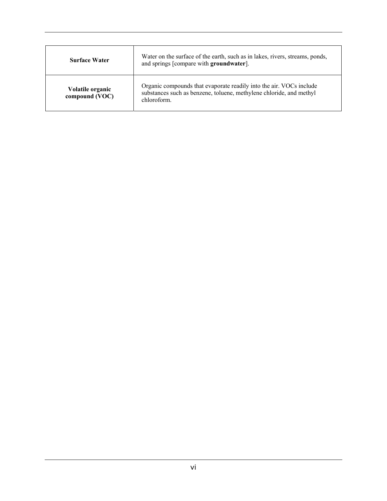| <b>Surface Water</b>               | Water on the surface of the earth, such as in lakes, rivers, streams, ponds,<br>and springs [compare with groundwater].                                  |
|------------------------------------|----------------------------------------------------------------------------------------------------------------------------------------------------------|
| Volatile organic<br>compound (VOC) | Organic compounds that evaporate readily into the air. VOCs include<br>substances such as benzene, toluene, methylene chloride, and methyl<br>chloroform |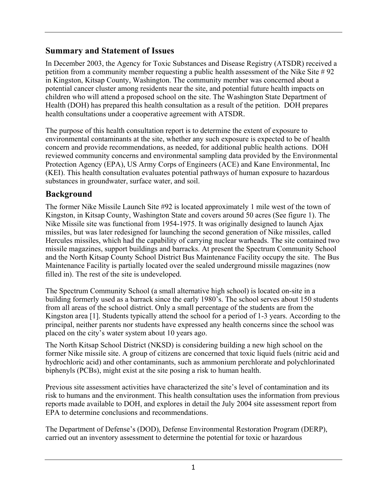## **Summary and Statement of Issues**

In December 2003, the Agency for Toxic Substances and Disease Registry (ATSDR) received a petition from a community member requesting a public health assessment of the Nike Site # 92 in Kingston, Kitsap County, Washington. The community member was concerned about a potential cancer cluster among residents near the site, and potential future health impacts on children who will attend a proposed school on the site. The Washington State Department of Health (DOH) has prepared this health consultation as a result of the petition. DOH prepares health consultations under a cooperative agreement with ATSDR.

The purpose of this health consultation report is to determine the extent of exposure to environmental contaminants at the site, whether any such exposure is expected to be of health concern and provide recommendations, as needed, for additional public health actions. DOH reviewed community concerns and environmental sampling data provided by the Environmental Protection Agency (EPA), US Army Corps of Engineers (ACE) and Kane Environmental, Inc (KEI). This health consultation evaluates potential pathways of human exposure to hazardous substances in groundwater, surface water, and soil.

# **Background**

The former Nike Missile Launch Site #92 is located approximately 1 mile west of the town of Kingston, in Kitsap County, Washington State and covers around 50 acres (See figure 1). The Nike Missile site was functional from 1954-1975. It was originally designed to launch Ajax missiles, but was later redesigned for launching the second generation of Nike missiles, called Hercules missiles, which had the capability of carrying nuclear warheads. The site contained two missile magazines, support buildings and barracks. At present the Spectrum Community School and the North Kitsap County School District Bus Maintenance Facility occupy the site. The Bus Maintenance Facility is partially located over the sealed underground missile magazines (now filled in). The rest of the site is undeveloped.

The Spectrum Community School (a small alternative high school) is located on-site in a building formerly used as a barrack since the early 1980's. The school serves about 150 students from all areas of the school district. Only a small percentage of the students are from the Kingston area [1]. Students typically attend the school for a period of 1-3 years. According to the principal, neither parents nor students have expressed any health concerns since the school was placed on the city's water system about 10 years ago.

The North Kitsap School District (NKSD) is considering building a new high school on the former Nike missile site. A group of citizens are concerned that toxic liquid fuels (nitric acid and hydrochloric acid) and other contaminants, such as ammonium perchlorate and polychlorinated biphenyls (PCBs), might exist at the site posing a risk to human health.

Previous site assessment activities have characterized the site's level of contamination and its risk to humans and the environment. This health consultation uses the information from previous reports made available to DOH, and explores in detail the July 2004 site assessment report from EPA to determine conclusions and recommendations.

The Department of Defense's (DOD), Defense Environmental Restoration Program (DERP), carried out an inventory assessment to determine the potential for toxic or hazardous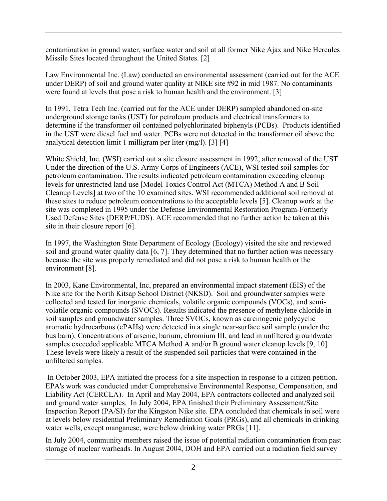contamination in ground water, surface water and soil at all former Nike Ajax and Nike Hercules Missile Sites located throughout the United States. [2]

Law Environmental Inc. (Law) conducted an environmental assessment (carried out for the ACE under DERP) of soil and ground water quality at NIKE site #92 in mid 1987. No contaminants were found at levels that pose a risk to human health and the environment. [3]

In 1991, Tetra Tech Inc. (carried out for the ACE under DERP) sampled abandoned on-site underground storage tanks (UST) for petroleum products and electrical transformers to determine if the transformer oil contained polychlorinated biphenyls (PCBs). Products identified in the UST were diesel fuel and water. PCBs were not detected in the transformer oil above the analytical detection limit 1 milligram per liter (mg/l). [3] [4]

White Shield, Inc. (WSI) carried out a site closure assessment in 1992, after removal of the UST. Under the direction of the U.S. Army Corps of Engineers (ACE), WSI tested soil samples for petroleum contamination. The results indicated petroleum contamination exceeding cleanup levels for unrestricted land use [Model Toxics Control Act (MTCA) Method A and B Soil Cleanup Levels] at two of the 10 examined sites. WSI recommended additional soil removal at these sites to reduce petroleum concentrations to the acceptable levels [5]. Cleanup work at the site was completed in 1995 under the Defense Environmental Restoration Program-Formerly Used Defense Sites (DERP/FUDS). ACE recommended that no further action be taken at this site in their closure report [6].

In 1997, the Washington State Department of Ecology (Ecology) visited the site and reviewed soil and ground water quality data [6, 7]. They determined that no further action was necessary because the site was properly remediated and did not pose a risk to human health or the environment [8].

In 2003, Kane Environmental, Inc, prepared an environmental impact statement (EIS) of the Nike site for the North Kitsap School District (NKSD). Soil and groundwater samples were collected and tested for inorganic chemicals, volatile organic compounds (VOCs), and semivolatile organic compounds (SVOCs). Results indicated the presence of methylene chloride in soil samples and groundwater samples. Three SVOCs, known as carcinogenic polycyclic aromatic hydrocarbons (cPAHs) were detected in a single near-surface soil sample (under the bus barn). Concentrations of arsenic, barium, chromium III, and lead in unfiltered groundwater samples exceeded applicable MTCA Method A and/or B ground water cleanup levels [9, 10]. These levels were likely a result of the suspended soil particles that were contained in the unfiltered samples.

 In October 2003, EPA initiated the process for a site inspection in response to a citizen petition. EPA's work was conducted under Comprehensive Environmental Response, Compensation, and Liability Act (CERCLA). In April and May 2004, EPA contractors collected and analyzed soil and ground water samples. In July 2004, EPA finished their Preliminary Assessment/Site Inspection Report (PA/SI) for the Kingston Nike site. EPA concluded that chemicals in soil were at levels below residential Preliminary Remediation Goals (PRGs), and all chemicals in drinking water wells, except manganese, were below drinking water PRGs [11].

In July 2004, community members raised the issue of potential radiation contamination from past storage of nuclear warheads. In August 2004, DOH and EPA carried out a radiation field survey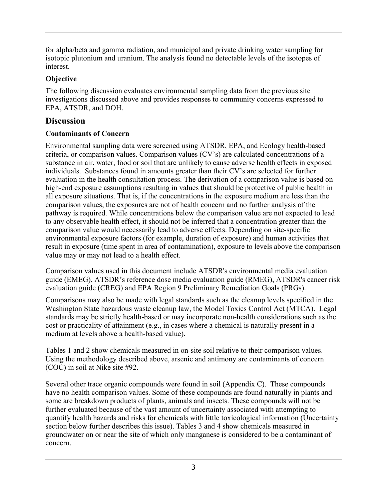for alpha/beta and gamma radiation, and municipal and private drinking water sampling for isotopic plutonium and uranium. The analysis found no detectable levels of the isotopes of interest.

### **Objective**

The following discussion evaluates environmental sampling data from the previous site investigations discussed above and provides responses to community concerns expressed to EPA, ATSDR, and DOH.

# **Discussion**

### **Contaminants of Concern**

Environmental sampling data were screened using ATSDR, EPA, and Ecology health-based criteria, or comparison values. Comparison values (CV's) are calculated concentrations of a substance in air, water, food or soil that are unlikely to cause adverse health effects in exposed individuals. Substances found in amounts greater than their CV's are selected for further evaluation in the health consultation process. The derivation of a comparison value is based on high-end exposure assumptions resulting in values that should be protective of public health in all exposure situations. That is, if the concentrations in the exposure medium are less than the comparison values, the exposures are not of health concern and no further analysis of the pathway is required. While concentrations below the comparison value are not expected to lead to any observable health effect, it should not be inferred that a concentration greater than the comparison value would necessarily lead to adverse effects. Depending on site-specific environmental exposure factors (for example, duration of exposure) and human activities that result in exposure (time spent in area of contamination), exposure to levels above the comparison value may or may not lead to a health effect.

Comparison values used in this document include ATSDR's environmental media evaluation guide (EMEG), ATSDR's reference dose media evaluation guide (RMEG), ATSDR's cancer risk evaluation guide (CREG) and EPA Region 9 Preliminary Remediation Goals (PRGs).

Comparisons may also be made with legal standards such as the cleanup levels specified in the Washington State hazardous waste cleanup law, the Model Toxics Control Act (MTCA). Legal standards may be strictly health-based or may incorporate non-health considerations such as the cost or practicality of attainment (e.g., in cases where a chemical is naturally present in a medium at levels above a health-based value).

Tables 1 and 2 show chemicals measured in on-site soil relative to their comparison values. Using the methodology described above, arsenic and antimony are contaminants of concern (COC) in soil at Nike site #92.

Several other trace organic compounds were found in soil (Appendix C). These compounds have no health comparison values. Some of these compounds are found naturally in plants and some are breakdown products of plants, animals and insects. These compounds will not be further evaluated because of the vast amount of uncertainty associated with attempting to quantify health hazards and risks for chemicals with little toxicological information (Uncertainty section below further describes this issue). Tables 3 and 4 show chemicals measured in groundwater on or near the site of which only manganese is considered to be a contaminant of concern.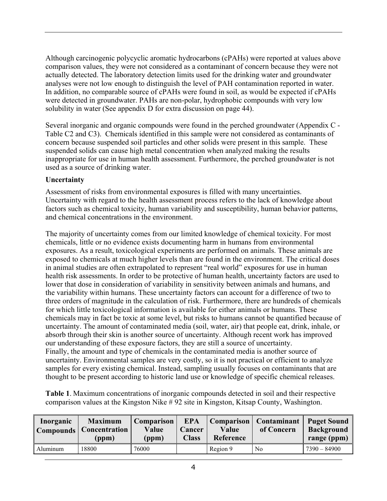Although carcinogenic polycyclic aromatic hydrocarbons (cPAHs) were reported at values above comparison values, they were not considered as a contaminant of concern because they were not actually detected. The laboratory detection limits used for the drinking water and groundwater analyses were not low enough to distinguish the level of PAH contamination reported in water. In addition, no comparable source of cPAHs were found in soil, as would be expected if cPAHs were detected in groundwater. PAHs are non-polar, hydrophobic compounds with very low solubility in water (See appendix D for extra discussion on page 44).

Several inorganic and organic compounds were found in the perched groundwater (Appendix C - Table C2 and C3). Chemicals identified in this sample were not considered as contaminants of concern because suspended soil particles and other solids were present in this sample. These suspended solids can cause high metal concentration when analyzed making the results inappropriate for use in human health assessment. Furthermore, the perched groundwater is not used as a source of drinking water.

#### **Uncertainty**

Assessment of risks from environmental exposures is filled with many uncertainties. Uncertainty with regard to the health assessment process refers to the lack of knowledge about factors such as chemical toxicity, human variability and susceptibility, human behavior patterns, and chemical concentrations in the environment.

The majority of uncertainty comes from our limited knowledge of chemical toxicity. For most chemicals, little or no evidence exists documenting harm in humans from environmental exposures. As a result, toxicological experiments are performed on animals. These animals are exposed to chemicals at much higher levels than are found in the environment. The critical doses in animal studies are often extrapolated to represent "real world" exposures for use in human health risk assessments. In order to be protective of human health, uncertainty factors are used to lower that dose in consideration of variability in sensitivity between animals and humans, and the variability within humans. These uncertainty factors can account for a difference of two to three orders of magnitude in the calculation of risk. Furthermore, there are hundreds of chemicals for which little toxicological information is available for either animals or humans. These chemicals may in fact be toxic at some level, but risks to humans cannot be quantified because of uncertainty. The amount of contaminated media (soil, water, air) that people eat, drink, inhale, or absorb through their skin is another source of uncertainty. Although recent work has improved our understanding of these exposure factors, they are still a source of uncertainty. Finally, the amount and type of chemicals in the contaminated media is another source of uncertainty. Environmental samples are very costly, so it is not practical or efficient to analyze samples for every existing chemical. Instead, sampling usually focuses on contaminants that are thought to be present according to historic land use or knowledge of specific chemical releases.

**Table 1**. Maximum concentrations of inorganic compounds detected in soil and their respective comparison values at the Kingston Nike # 92 site in Kingston, Kitsap County, Washington.

| Inorganic<br><b>Compounds</b> | <b>Maximum</b><br><b>Concentration</b><br>(ppm) | Comparison  <br>Value<br>(ppm) | <b>EPA</b><br>Cancer<br><b>Class</b> | Comparison<br>Value<br>Reference | <b>Contaminant</b><br>of Concern | <b>Puget Sound</b><br><b>Background</b><br>range (ppm) |
|-------------------------------|-------------------------------------------------|--------------------------------|--------------------------------------|----------------------------------|----------------------------------|--------------------------------------------------------|
| Aluminum                      | 18800                                           | 76000                          |                                      | Region 9                         | N <sub>0</sub>                   | 7390 - 84900                                           |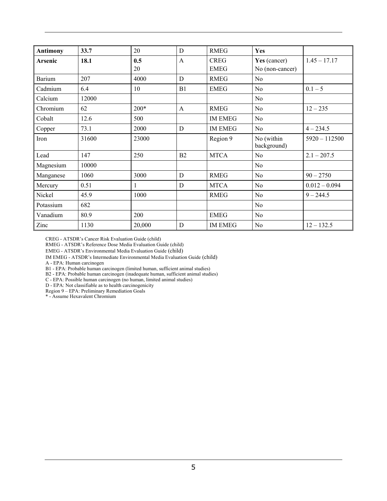| <b>Antimony</b> | 33.7  | 20     | D            | <b>RMEG</b>    | Yes                       |                 |
|-----------------|-------|--------|--------------|----------------|---------------------------|-----------------|
| Arsenic         | 18.1  | 0.5    | $\mathbf{A}$ | <b>CREG</b>    | Yes (cancer)              | $1.45 - 17.17$  |
|                 |       | 20     |              | <b>EMEG</b>    | No (non-cancer)           |                 |
| <b>Barium</b>   | 207   | 4000   | D            | <b>RMEG</b>    | No                        |                 |
| Cadmium         | 6.4   | 10     | B1           | <b>EMEG</b>    | N <sub>0</sub>            | $0.1 - 5$       |
| Calcium         | 12000 |        |              |                | N <sub>o</sub>            |                 |
| Chromium        | 62    | $200*$ | $\mathbf{A}$ | <b>RMEG</b>    | N <sub>0</sub>            | $12 - 235$      |
| Cobalt          | 12.6  | 500    |              | <b>IM EMEG</b> | N <sub>0</sub>            |                 |
| Copper          | 73.1  | 2000   | D            | <b>IM EMEG</b> | N <sub>0</sub>            | $4 - 234.5$     |
| Iron            | 31600 | 23000  |              | Region 9       | No (within<br>background) | $5920 - 112500$ |
| Lead            | 147   | 250    | B2           | <b>MTCA</b>    | No                        | $2.1 - 207.5$   |
| Magnesium       | 10000 |        |              |                | N <sub>0</sub>            |                 |
| Manganese       | 1060  | 3000   | D            | <b>RMEG</b>    | N <sub>0</sub>            | $90 - 2750$     |
| Mercury         | 0.51  | 1      | D            | <b>MTCA</b>    | N <sub>0</sub>            | $0.012 - 0.094$ |
| Nickel          | 45.9  | 1000   |              | <b>RMEG</b>    | N <sub>o</sub>            | $9 - 244.5$     |
| Potassium       | 682   |        |              |                | N <sub>0</sub>            |                 |
| Vanadium        | 80.9  | 200    |              | <b>EMEG</b>    | N <sub>0</sub>            |                 |
| Zinc            | 1130  | 20,000 | D            | <b>IM EMEG</b> | No                        | $12 - 132.5$    |

CREG - ATSDR's Cancer Risk Evaluation Guide (child)

RMEG - ATSDR's Reference Dose Media Evaluation Guide (child)

EMEG - ATSDR's Environmental Media Evaluation Guide (child)

IM EMEG - ATSDR's Intermediate Environmental Media Evaluation Guide (child)

A - EPA: Human carcinogen

B1 - EPA: Probable human carcinogen (limited human, sufficient animal studies)

B2 - EPA: Probable human carcinogen (inadequate human, sufficient animal studies)

C - EPA: Possible human carcinogen (no human, limited animal studies)

D - EPA: Not classifiable as to health carcinogenicity

Region 9 – EPA: Preliminary Remediation Goals \* - Assume Hexavalent Chromium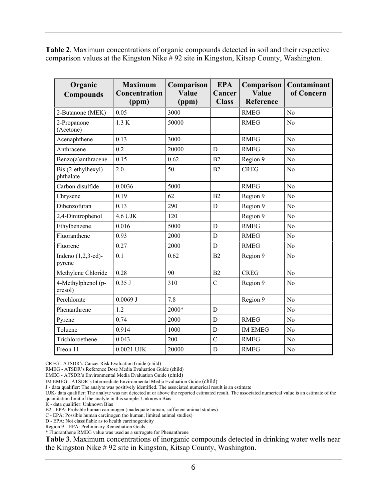**Table 2**. Maximum concentrations of organic compounds detected in soil and their respective comparison values at the Kingston Nike # 92 site in Kingston, Kitsap County, Washington.

| Organic<br><b>Compounds</b>      | <b>Maximum</b><br>Concentration<br>(ppm) | Comparison<br>Value<br>(ppm) | <b>EPA</b><br>Cancer<br><b>Class</b> | Comparison<br>Value<br>Reference | Contaminant<br>of Concern |
|----------------------------------|------------------------------------------|------------------------------|--------------------------------------|----------------------------------|---------------------------|
| 2-Butanone (MEK)                 | 0.05                                     | 3000                         |                                      | <b>RMEG</b>                      | N <sub>0</sub>            |
| 2-Propanone<br>(Acetone)         | 1.3 K                                    | 50000                        |                                      | <b>RMEG</b>                      | N <sub>o</sub>            |
| Acenaphthene                     | 0.13                                     | 3000                         |                                      | <b>RMEG</b>                      | No                        |
| Anthracene                       | 0.2                                      | 20000                        | D                                    | <b>RMEG</b>                      | N <sub>0</sub>            |
| Benzo(a)anthracene               | 0.15                                     | 0.62                         | B2                                   | Region 9                         | N <sub>o</sub>            |
| Bis (2-ethylhexyl)-<br>phthalate | 2.0                                      | 50                           | B <sub>2</sub>                       | <b>CREG</b>                      | N <sub>0</sub>            |
| Carbon disulfide                 | 0.0036                                   | 5000                         |                                      | <b>RMEG</b>                      | No                        |
| Chrysene                         | 0.19                                     | 62                           | B2                                   | Region 9                         | N <sub>o</sub>            |
| Dibenzofuran                     | 0.13                                     | 290                          | $\mathbf D$                          | Region 9                         | N <sub>0</sub>            |
| 2,4-Dinitrophenol                | 4.6 UJK                                  | 120                          |                                      | Region 9                         | N <sub>0</sub>            |
| Ethylbenzene                     | 0.016                                    | 5000                         | $\mathbf D$                          | <b>RMEG</b>                      | N <sub>0</sub>            |
| Fluoranthene                     | 0.93                                     | 2000                         | D                                    | <b>RMEG</b>                      | N <sub>0</sub>            |
| Fluorene                         | 0.27                                     | 2000                         | $\mathbf D$                          | <b>RMEG</b>                      | N <sub>0</sub>            |
| Indeno $(1,2,3-cd)$ -<br>pyrene  | 0.1                                      | 0.62                         | B <sub>2</sub>                       | Region 9                         | N <sub>0</sub>            |
| Methylene Chloride               | 0.28                                     | 90                           | B2                                   | <b>CREG</b>                      | No                        |
| 4-Methylphenol (p-<br>cresol)    | 0.35 J                                   | 310                          | $\mathcal{C}$                        | Region 9                         | No                        |
| Perchlorate                      | $0.0069$ J                               | 7.8                          |                                      | Region 9                         | N <sub>0</sub>            |
| Phenanthrene                     | 1.2                                      | 2000*                        | $\mathbf D$                          |                                  | N <sub>o</sub>            |
| Pyrene                           | 0.74                                     | 2000                         | D                                    | <b>RMEG</b>                      | N <sub>0</sub>            |
| Toluene                          | 0.914                                    | 1000                         | $\mathbf D$                          | <b>IM EMEG</b>                   | N <sub>0</sub>            |
| Trichloroethene                  | 0.043                                    | 200                          | $\overline{C}$                       | <b>RMEG</b>                      | N <sub>o</sub>            |
| Freon 11                         | $0.0021$ UJK                             | 20000                        | $\mathbf D$                          | <b>RMEG</b>                      | No                        |

CREG - ATSDR's Cancer Risk Evaluation Guide (child)

RMEG - ATSDR's Reference Dose Media Evaluation Guide (child)

EMEG - ATSDR's Environmental Media Evaluation Guide (child)

IM EMEG - ATSDR's Intermediate Environmental Media Evaluation Guide (child)

J - data qualifier: The analyte was positively identified. The associated numerical result is an estimate

UJK- data qualifier: The analyte was not detected at or above the reported estimated result. The associated numerical value is an estimate of the quantitation limit of the analyte in this sample. Unknown Bias

K - data qualifier: Unknown Bias

B2 - EPA: Probable human carcinogen (inadequate human, sufficient animal studies)

C - EPA: Possible human carcinogen (no human, limited animal studies)

D - EPA: Not classifiable as to health carcinogenicity

Region 9 – EPA: Preliminary Remediation Goals

\* Fluoranthene RMEG value was used as a surrogate for Phenanthrene

**Table 3**. Maximum concentrations of inorganic compounds detected in drinking water wells near the Kingston Nike # 92 site in Kingston, Kitsap County, Washington.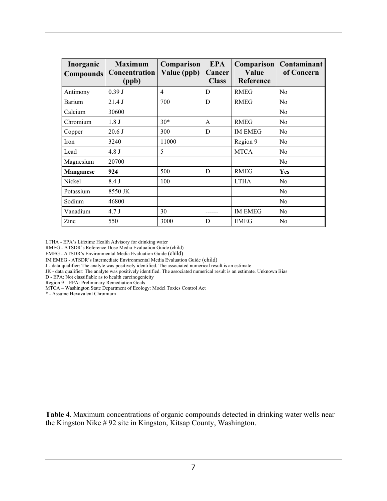| Inorganic<br><b>Compounds</b> | <b>Maximum</b><br><b>Concentration</b><br>(ppb) | Comparison<br>Value (ppb) | <b>EPA</b><br>Cancer<br><b>Class</b> | Comparison<br>Value<br>Reference | Contaminant<br>of Concern |
|-------------------------------|-------------------------------------------------|---------------------------|--------------------------------------|----------------------------------|---------------------------|
| Antimony                      | 0.39J                                           | 4                         | D                                    | <b>RMEG</b>                      | N <sub>0</sub>            |
| Barium                        | 21.4J                                           | 700                       | D                                    | <b>RMEG</b>                      | N <sub>0</sub>            |
| Calcium                       | 30600                                           |                           |                                      |                                  | N <sub>0</sub>            |
| Chromium                      | 1.8 <sub>J</sub>                                | $30*$                     | A                                    | <b>RMEG</b>                      | N <sub>0</sub>            |
| Copper                        | 20.6J                                           | 300                       | D                                    | <b>IM EMEG</b>                   | N <sub>0</sub>            |
| Iron                          | 3240                                            | 11000                     |                                      | Region 9                         | No                        |
| Lead                          | 4.8 J                                           | 5                         |                                      | <b>MTCA</b>                      | N <sub>0</sub>            |
| Magnesium                     | 20700                                           |                           |                                      |                                  | $\rm No$                  |
| <b>Manganese</b>              | 924                                             | 500                       | D                                    | <b>RMEG</b>                      | Yes                       |
| Nickel                        | 8.4 J                                           | 100                       |                                      | <b>LTHA</b>                      | N <sub>0</sub>            |
| Potassium                     | 8550 JK                                         |                           |                                      |                                  | N <sub>0</sub>            |
| Sodium                        | 46800                                           |                           |                                      |                                  | N <sub>0</sub>            |
| Vanadium                      | 4.7 J                                           | 30                        |                                      | <b>IM EMEG</b>                   | N <sub>0</sub>            |
| Zinc                          | 550                                             | 3000                      | D                                    | <b>EMEG</b>                      | N <sub>0</sub>            |

LTHA - EPA's Lifetime Health Advisory for drinking water

RMEG - ATSDR's Reference Dose Media Evaluation Guide (child)

EMEG - ATSDR's Environmental Media Evaluation Guide (child)

IM EMEG - ATSDR's Intermediate Environmental Media Evaluation Guide (child)

J - data qualifier: The analyte was positively identified. The associated numerical result is an estimate

JK - data qualifier: The analyte was positively identified. The associated numerical result is an estimate. Unknown Bias

D - EPA: Not classifiable as to health carcinogenicity

Region 9 – EPA: Preliminary Remediation Goals

MTCA – Washington State Department of Ecology: Model Toxics Control Act

\* - Assume Hexavalent Chromium

**Table 4**. Maximum concentrations of organic compounds detected in drinking water wells near the Kingston Nike # 92 site in Kingston, Kitsap County, Washington.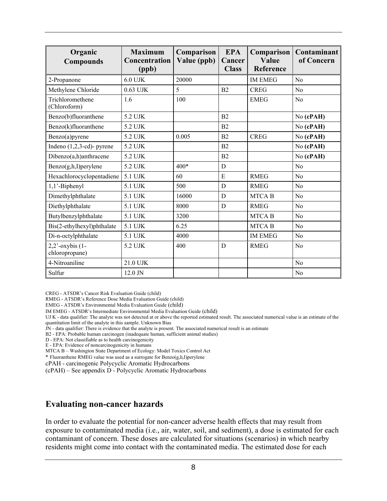| Organic<br><b>Compounds</b>          | <b>Maximum</b><br>Concentration<br>(ppb) | Comparison<br>Value (ppb) | <b>EPA</b><br>Cancer<br><b>Class</b> | Comparison<br>Value<br><b>Reference</b> | Contaminant<br>of Concern |
|--------------------------------------|------------------------------------------|---------------------------|--------------------------------------|-----------------------------------------|---------------------------|
| 2-Propanone                          | $6.0$ UJK                                | 20000                     |                                      | <b>IM EMEG</b>                          | No                        |
| Methylene Chloride                   | $0.63$ UJK                               | 5                         | B2                                   | <b>CREG</b>                             | $\rm No$                  |
| Trichloromethene<br>(Chloroform)     | 1.6                                      | 100                       |                                      | <b>EMEG</b>                             | N <sub>o</sub>            |
| Benzo(b)fluoranthene                 | 5.2 UJK                                  |                           | B <sub>2</sub>                       |                                         | No (cPAH)                 |
| Benzo(k)fluoranthene                 | 5.2 UJK                                  |                           | B <sub>2</sub>                       |                                         | No (cPAH)                 |
| Benzo(a)pyrene                       | 5.2 UJK                                  | 0.005                     | B2                                   | <b>CREG</b>                             | No (cPAH)                 |
| Indeno $(1,2,3-cd)$ - pyrene         | 5.2 UJK                                  |                           | B <sub>2</sub>                       |                                         | No (cPAH)                 |
| Dibenzo(a,h)anthracene               | 5.2 UJK                                  |                           | B2                                   |                                         | No (cPAH)                 |
| Benzo(g,h,I)perylene                 | 5.2 UJK                                  | 400*                      | D                                    |                                         | No                        |
| Hexachlorocyclopentadiene            | 5.1 UJK                                  | 60                        | E                                    | <b>RMEG</b>                             | N <sub>o</sub>            |
| $1,1'$ -Biphenyl                     | 5.1 UJK                                  | 500                       | D                                    | <b>RMEG</b>                             | N <sub>0</sub>            |
| Dimethylphthalate                    | 5.1 UJK                                  | 16000                     | D                                    | <b>MTCAB</b>                            | No                        |
| Diethylphthalate                     | 5.1 UJK                                  | 8000                      | D                                    | <b>RMEG</b>                             | No                        |
| Butylbenzylphthalate                 | 5.1 UJK                                  | 3200                      |                                      | <b>MTCAB</b>                            | N <sub>o</sub>            |
| Bis(2-ethylhexyl)phthalate           | 5.1 UJK                                  | 6.25                      |                                      | <b>MTCAB</b>                            | N <sub>o</sub>            |
| Di-n-octylphthalate                  | 5.1 UJK                                  | 4000                      |                                      | <b>IM EMEG</b>                          | N <sub>o</sub>            |
| $2,2$ '-oxybis (1-<br>chloropropane) | 5.2 UJK                                  | 400                       | D                                    | <b>RMEG</b>                             | N <sub>o</sub>            |
| 4-Nitroaniline                       | 21.0 UJK                                 |                           |                                      |                                         | N <sub>o</sub>            |
| Sulfur                               | 12.0 JN                                  |                           |                                      |                                         | N <sub>o</sub>            |

CREG - ATSDR's Cancer Risk Evaluation Guide (child)

RMEG - ATSDR's Reference Dose Media Evaluation Guide (child)

EMEG - ATSDR's Environmental Media Evaluation Guide (child)

IM EMEG - ATSDR's Intermediate Environmental Media Evaluation Guide (child)

UJ K - data qualifier: The analyte was not detected at or above the reported estimated result. The associated numerical value is an estimate of the quantitation limit of the analyte in this sample. Unknown Bias

JN - data qualifier: There is evidence that the analyte is present. The associated numerical result is an estimate

B2 - EPA: Probable human carcinogen (inadequate human, sufficient animal studies)

D - EPA: Not classifiable as to health carcinogenicity

E - EPA: Evidence of noncarcinogenicity in humans

MTCA B – Washington State Department of Ecology: Model Toxics Control Act

\* Fluoranthene RMEG value was used as a surrogate for Benzo(g,h,I)perylene

cPAH - carcinogenic Polycyclic Aromatic Hydrocarbons

(cPAH) – See appendix D - Polycyclic Aromatic Hydrocarbons

### **Evaluating non-cancer hazards**

In order to evaluate the potential for non-cancer adverse health effects that may result from exposure to contaminated media (i.e., air, water, soil, and sediment), a dose is estimated for each contaminant of concern. These doses are calculated for situations (scenarios) in which nearby residents might come into contact with the contaminated media. The estimated dose for each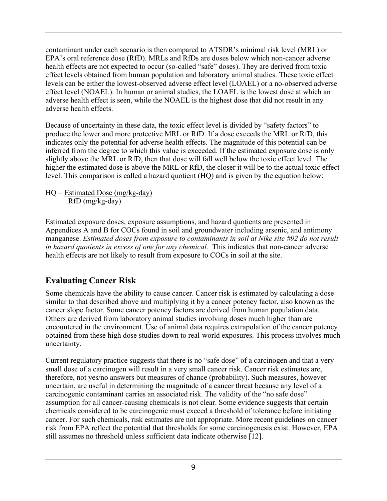contaminant under each scenario is then compared to ATSDR's minimal risk level (MRL) or EPA's oral reference dose (RfD). MRLs and RfDs are doses below which non-cancer adverse health effects are not expected to occur (so-called "safe" doses). They are derived from toxic effect levels obtained from human population and laboratory animal studies. These toxic effect levels can be either the lowest-observed adverse effect level (LOAEL) or a no-observed adverse effect level (NOAEL). In human or animal studies, the LOAEL is the lowest dose at which an adverse health effect is seen, while the NOAEL is the highest dose that did not result in any adverse health effects.

Because of uncertainty in these data, the toxic effect level is divided by "safety factors" to produce the lower and more protective MRL or RfD. If a dose exceeds the MRL or RfD, this indicates only the potential for adverse health effects. The magnitude of this potential can be inferred from the degree to which this value is exceeded. If the estimated exposure dose is only slightly above the MRL or RfD, then that dose will fall well below the toxic effect level. The higher the estimated dose is above the MRL or RfD, the closer it will be to the actual toxic effect level. This comparison is called a hazard quotient (HQ) and is given by the equation below:

 $HO = Estimated Does (mg/kg-day)$ RfD (mg/kg-day)

Estimated exposure doses, exposure assumptions, and hazard quotients are presented in Appendices A and B for COCs found in soil and groundwater including arsenic, and antimony manganese. *Estimated doses from exposure to contaminants in soil at Nike site #92 do not result in hazard quotients in excess of one for any chemical.* This indicates that non-cancer adverse health effects are not likely to result from exposure to COCs in soil at the site.

# **Evaluating Cancer Risk**

Some chemicals have the ability to cause cancer. Cancer risk is estimated by calculating a dose similar to that described above and multiplying it by a cancer potency factor, also known as the cancer slope factor. Some cancer potency factors are derived from human population data. Others are derived from laboratory animal studies involving doses much higher than are encountered in the environment. Use of animal data requires extrapolation of the cancer potency obtained from these high dose studies down to real-world exposures. This process involves much uncertainty.

Current regulatory practice suggests that there is no "safe dose" of a carcinogen and that a very small dose of a carcinogen will result in a very small cancer risk. Cancer risk estimates are, therefore, not yes/no answers but measures of chance (probability). Such measures, however uncertain, are useful in determining the magnitude of a cancer threat because any level of a carcinogenic contaminant carries an associated risk. The validity of the "no safe dose" assumption for all cancer-causing chemicals is not clear. Some evidence suggests that certain chemicals considered to be carcinogenic must exceed a threshold of tolerance before initiating cancer. For such chemicals, risk estimates are not appropriate. More recent guidelines on cancer risk from EPA reflect the potential that thresholds for some carcinogenesis exist. However, EPA still assumes no threshold unless sufficient data indicate otherwise [12].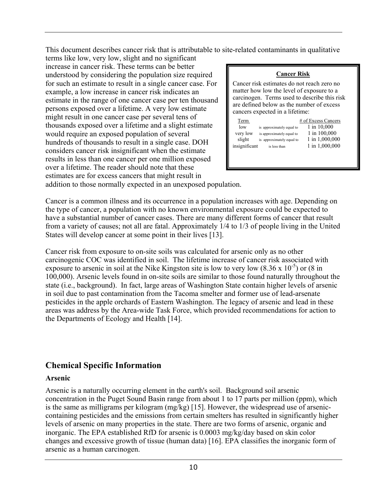This document describes cancer risk that is attributable to site-related contaminants in qualitative

terms like low, very low, slight and no significant increase in cancer risk. These terms can be better understood by considering the population size required for such an estimate to result in a single cancer case. For example, a low increase in cancer risk indicates an estimate in the range of one cancer case per ten thousand persons exposed over a lifetime. A very low estimate might result in one cancer case per several tens of thousands exposed over a lifetime and a slight estimate would require an exposed population of several hundreds of thousands to result in a single case. DOH considers cancer risk insignificant when the estimate results in less than one cancer per one million exposed over a lifetime. The reader should note that these estimates are for excess cancers that might result in

#### **Cancer Risk**

Cancer risk estimates do not reach zero no matter how low the level of exposure to a carcinogen. Terms used to describe this risk are defined below as the number of excess cancers expected in a lifetime:

| Term          |                           | # of Excess Cancers |
|---------------|---------------------------|---------------------|
| low           | is approximately equal to | 1 in 10,000         |
| very low      | is approximately equal to | 1 in 100,000        |
| slight        | is approximately equal to | 1 in 1,000,000      |
| insignificant | is less than              | 1 in 1,000,000      |
|               |                           |                     |

addition to those normally expected in an unexposed population.

Cancer is a common illness and its occurrence in a population increases with age. Depending on the type of cancer, a population with no known environmental exposure could be expected to have a substantial number of cancer cases. There are many different forms of cancer that result from a variety of causes; not all are fatal. Approximately 1/4 to 1/3 of people living in the United States will develop cancer at some point in their lives [13].

Cancer risk from exposure to on-site soils was calculated for arsenic only as no other carcinogenic COC was identified in soil. The lifetime increase of cancer risk associated with exposure to arsenic in soil at the Nike Kingston site is low to very low  $(8.36 \times 10^{-5})$  or  $(8 \text{ in}$ 100,000). Arsenic levels found in on-site soils are similar to those found naturally throughout the state (i.e., background). In fact, large areas of Washington State contain higher levels of arsenic in soil due to past contamination from the Tacoma smelter and former use of lead-arsenate pesticides in the apple orchards of Eastern Washington. The legacy of arsenic and lead in these areas was address by the Area-wide Task Force, which provided recommendations for action to the Departments of Ecology and Health [14].

## **Chemical Specific Information**

#### **Arsenic**

Arsenic is a naturally occurring element in the earth's soil. Background soil arsenic concentration in the Puget Sound Basin range from about 1 to 17 parts per million (ppm), which is the same as milligrams per kilogram (mg/kg) [15]. However, the widespread use of arseniccontaining pesticides and the emissions from certain smelters has resulted in significantly higher levels of arsenic on many properties in the state. There are two forms of arsenic, organic and inorganic. The EPA established RfD for arsenic is 0.0003 mg/kg/day based on skin color changes and excessive growth of tissue (human data) [16]. EPA classifies the inorganic form of arsenic as a human carcinogen.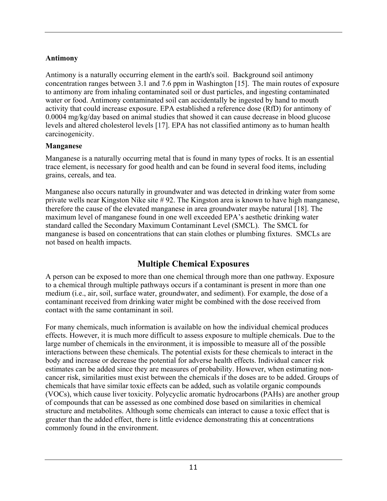### **Antimony**

Antimony is a naturally occurring element in the earth's soil. Background soil antimony concentration ranges between 3.1 and 7.6 ppm in Washington [15]. The main routes of exposure to antimony are from inhaling contaminated soil or dust particles, and ingesting contaminated water or food. Antimony contaminated soil can accidentally be ingested by hand to mouth activity that could increase exposure. EPA established a reference dose (RfD) for antimony of 0.0004 mg/kg/day based on animal studies that showed it can cause decrease in blood glucose levels and altered cholesterol levels [17]. EPA has not classified antimony as to human health carcinogenicity.

### **Manganese**

Manganese is a naturally occurring metal that is found in many types of rocks. It is an essential trace element, is necessary for good health and can be found in several food items, including grains, cereals, and tea.

Manganese also occurs naturally in groundwater and was detected in drinking water from some private wells near Kingston Nike site # 92. The Kingston area is known to have high manganese, therefore the cause of the elevated manganese in area groundwater maybe natural [18]. The maximum level of manganese found in one well exceeded EPA's aesthetic drinking water standard called the Secondary Maximum Contaminant Level (SMCL). The SMCL for manganese is based on concentrations that can stain clothes or plumbing fixtures. SMCLs are not based on health impacts.

# **Multiple Chemical Exposures**

A person can be exposed to more than one chemical through more than one pathway. Exposure to a chemical through multiple pathways occurs if a contaminant is present in more than one medium (i.e., air, soil, surface water, groundwater, and sediment). For example, the dose of a contaminant received from drinking water might be combined with the dose received from contact with the same contaminant in soil.

For many chemicals, much information is available on how the individual chemical produces effects. However, it is much more difficult to assess exposure to multiple chemicals. Due to the large number of chemicals in the environment, it is impossible to measure all of the possible interactions between these chemicals. The potential exists for these chemicals to interact in the body and increase or decrease the potential for adverse health effects. Individual cancer risk estimates can be added since they are measures of probability. However, when estimating noncancer risk, similarities must exist between the chemicals if the doses are to be added. Groups of chemicals that have similar toxic effects can be added, such as volatile organic compounds (VOCs), which cause liver toxicity. Polycyclic aromatic hydrocarbons (PAHs) are another group of compounds that can be assessed as one combined dose based on similarities in chemical structure and metabolites. Although some chemicals can interact to cause a toxic effect that is greater than the added effect, there is little evidence demonstrating this at concentrations commonly found in the environment.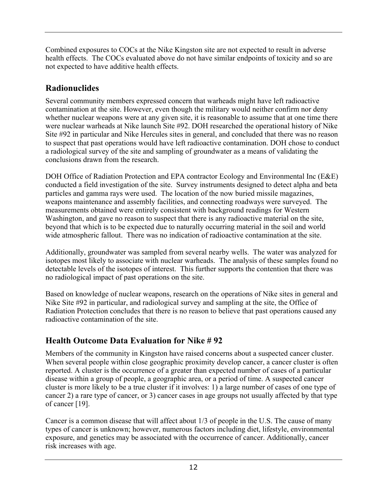Combined exposures to COCs at the Nike Kingston site are not expected to result in adverse health effects. The COCs evaluated above do not have similar endpoints of toxicity and so are not expected to have additive health effects.

# **Radionuclides**

Several community members expressed concern that warheads might have left radioactive contamination at the site. However, even though the military would neither confirm nor deny whether nuclear weapons were at any given site, it is reasonable to assume that at one time there were nuclear warheads at Nike launch Site #92. DOH researched the operational history of Nike Site #92 in particular and Nike Hercules sites in general, and concluded that there was no reason to suspect that past operations would have left radioactive contamination. DOH chose to conduct a radiological survey of the site and sampling of groundwater as a means of validating the conclusions drawn from the research.

DOH Office of Radiation Protection and EPA contractor Ecology and Environmental Inc (E&E) conducted a field investigation of the site. Survey instruments designed to detect alpha and beta particles and gamma rays were used. The location of the now buried missile magazines, weapons maintenance and assembly facilities, and connecting roadways were surveyed. The measurements obtained were entirely consistent with background readings for Western Washington, and gave no reason to suspect that there is any radioactive material on the site, beyond that which is to be expected due to naturally occurring material in the soil and world wide atmospheric fallout. There was no indication of radioactive contamination at the site.

Additionally, groundwater was sampled from several nearby wells. The water was analyzed for isotopes most likely to associate with nuclear warheads. The analysis of these samples found no detectable levels of the isotopes of interest. This further supports the contention that there was no radiological impact of past operations on the site.

Based on knowledge of nuclear weapons, research on the operations of Nike sites in general and Nike Site #92 in particular, and radiological survey and sampling at the site, the Office of Radiation Protection concludes that there is no reason to believe that past operations caused any radioactive contamination of the site.

# **Health Outcome Data Evaluation for Nike # 92**

Members of the community in Kingston have raised concerns about a suspected cancer cluster. When several people within close geographic proximity develop cancer, a cancer cluster is often reported. A cluster is the occurrence of a greater than expected number of cases of a particular disease within a group of people, a geographic area, or a period of time. A suspected cancer cluster is more likely to be a true cluster if it involves: 1) a large number of cases of one type of cancer 2) a rare type of cancer, or 3) cancer cases in age groups not usually affected by that type of cancer [19].

Cancer is a common disease that will affect about 1/3 of people in the U.S. The cause of many types of cancer is unknown; however, numerous factors including diet, lifestyle, environmental exposure, and genetics may be associated with the occurrence of cancer. Additionally, cancer risk increases with age.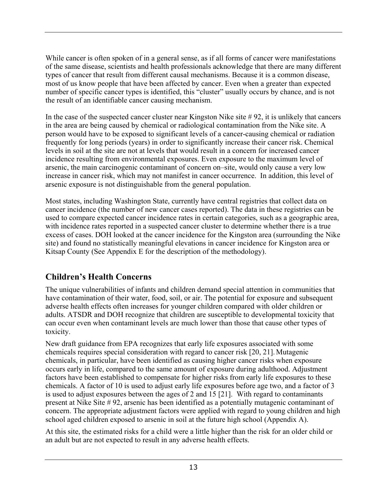While cancer is often spoken of in a general sense, as if all forms of cancer were manifestations of the same disease, scientists and health professionals acknowledge that there are many different types of cancer that result from different causal mechanisms. Because it is a common disease, most of us know people that have been affected by cancer. Even when a greater than expected number of specific cancer types is identified, this "cluster" usually occurs by chance, and is not the result of an identifiable cancer causing mechanism.

In the case of the suspected cancer cluster near Kingston Nike site # 92, it is unlikely that cancers in the area are being caused by chemical or radiological contamination from the Nike site. A person would have to be exposed to significant levels of a cancer-causing chemical or radiation frequently for long periods (years) in order to significantly increase their cancer risk. Chemical levels in soil at the site are not at levels that would result in a concern for increased cancer incidence resulting from environmental exposures. Even exposure to the maximum level of arsenic, the main carcinogenic contaminant of concern on–site, would only cause a very low increase in cancer risk, which may not manifest in cancer occurrence. In addition, this level of arsenic exposure is not distinguishable from the general population.

Most states, including Washington State, currently have central registries that collect data on cancer incidence (the number of new cancer cases reported). The data in these registries can be used to compare expected cancer incidence rates in certain categories, such as a geographic area, with incidence rates reported in a suspected cancer cluster to determine whether there is a true excess of cases. DOH looked at the cancer incidence for the Kingston area (surrounding the Nike site) and found no statistically meaningful elevations in cancer incidence for Kingston area or Kitsap County (See Appendix E for the description of the methodology).

# **Children's Health Concerns**

The unique vulnerabilities of infants and children demand special attention in communities that have contamination of their water, food, soil, or air. The potential for exposure and subsequent adverse health effects often increases for younger children compared with older children or adults. ATSDR and DOH recognize that children are susceptible to developmental toxicity that can occur even when contaminant levels are much lower than those that cause other types of toxicity.

New draft guidance from EPA recognizes that early life exposures associated with some chemicals requires special consideration with regard to cancer risk [20, 21].Mutagenic chemicals, in particular, have been identified as causing higher cancer risks when exposure occurs early in life, compared to the same amount of exposure during adulthood. Adjustment factors have been established to compensate for higher risks from early life exposures to these chemicals. A factor of 10 is used to adjust early life exposures before age two, and a factor of 3 is used to adjust exposures between the ages of 2 and 15 [21]. With regard to contaminants present at Nike Site # 92, arsenic has been identified as a potentially mutagenic contaminant of concern. The appropriate adjustment factors were applied with regard to young children and high school aged children exposed to arsenic in soil at the future high school (Appendix A).

At this site, the estimated risks for a child were a little higher than the risk for an older child or an adult but are not expected to result in any adverse health effects.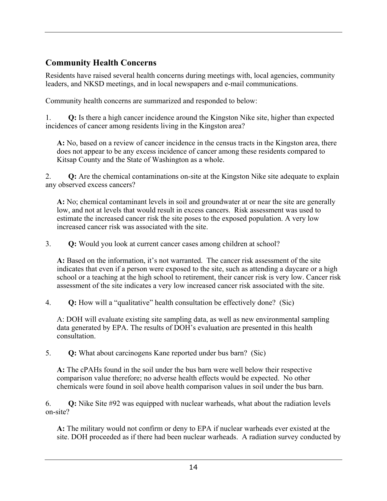# **Community Health Concerns**

Residents have raised several health concerns during meetings with, local agencies, community leaders, and NKSD meetings, and in local newspapers and e-mail communications.

Community health concerns are summarized and responded to below:

1. **Q:** Is there a high cancer incidence around the Kingston Nike site, higher than expected incidences of cancer among residents living in the Kingston area?

**A:** No, based on a review of cancer incidence in the census tracts in the Kingston area, there does not appear to be any excess incidence of cancer among these residents compared to Kitsap County and the State of Washington as a whole.

2. **Q:** Are the chemical contaminations on-site at the Kingston Nike site adequate to explain any observed excess cancers?

**A:** No; chemical contaminant levels in soil and groundwater at or near the site are generally low, and not at levels that would result in excess cancers. Risk assessment was used to estimate the increased cancer risk the site poses to the exposed population. A very low increased cancer risk was associated with the site.

3. **Q:** Would you look at current cancer cases among children at school?

**A:** Based on the information, it's not warranted. The cancer risk assessment of the site indicates that even if a person were exposed to the site, such as attending a daycare or a high school or a teaching at the high school to retirement, their cancer risk is very low. Cancer risk assessment of the site indicates a very low increased cancer risk associated with the site.

4. **Q:** How will a "qualitative" health consultation be effectively done? (Sic)

A: DOH will evaluate existing site sampling data, as well as new environmental sampling data generated by EPA. The results of DOH's evaluation are presented in this health consultation.

5. **Q:** What about carcinogens Kane reported under bus barn? (Sic)

**A:** The cPAHs found in the soil under the bus barn were well below their respective comparison value therefore; no adverse health effects would be expected. No other chemicals were found in soil above health comparison values in soil under the bus barn.

6. **Q:** Nike Site #92 was equipped with nuclear warheads, what about the radiation levels on-site?

**A:** The military would not confirm or deny to EPA if nuclear warheads ever existed at the site. DOH proceeded as if there had been nuclear warheads. A radiation survey conducted by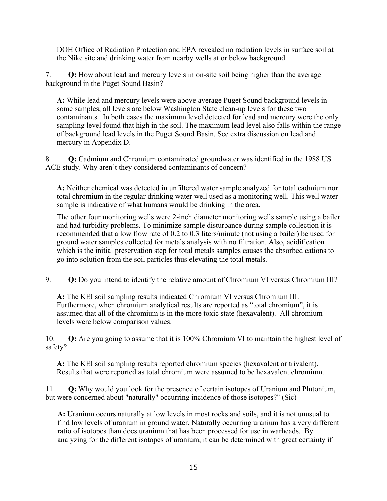DOH Office of Radiation Protection and EPA revealed no radiation levels in surface soil at the Nike site and drinking water from nearby wells at or below background.

7. **Q:** How about lead and mercury levels in on-site soil being higher than the average background in the Puget Sound Basin?

**A:** While lead and mercury levels were above average Puget Sound background levels in some samples, all levels are below Washington State clean-up levels for these two contaminants. In both cases the maximum level detected for lead and mercury were the only sampling level found that high in the soil. The maximum lead level also falls within the range of background lead levels in the Puget Sound Basin. See extra discussion on lead and mercury in Appendix D.

8. **Q:** Cadmium and Chromium contaminated groundwater was identified in the 1988 US ACE study. Why aren't they considered contaminants of concern?

**A:** Neither chemical was detected in unfiltered water sample analyzed for total cadmium nor total chromium in the regular drinking water well used as a monitoring well. This well water sample is indicative of what humans would be drinking in the area.

The other four monitoring wells were 2-inch diameter monitoring wells sample using a bailer and had turbidity problems. To minimize sample disturbance during sample collection it is recommended that a low flow rate of 0.2 to 0.3 liters/minute (not using a bailer) be used for ground water samples collected for metals analysis with no filtration. Also, acidification which is the initial preservation step for total metals samples causes the absorbed cations to go into solution from the soil particles thus elevating the total metals.

9. **Q:** Do you intend to identify the relative amount of Chromium VI versus Chromium III?

**A:** The KEI soil sampling results indicated Chromium VI versus Chromium III. Furthermore, when chromium analytical results are reported as "total chromium", it is assumed that all of the chromium is in the more toxic state (hexavalent). All chromium levels were below comparison values.

10. **Q:** Are you going to assume that it is 100% Chromium VI to maintain the highest level of safety?

**A:** The KEI soil sampling results reported chromium species (hexavalent or trivalent). Results that were reported as total chromium were assumed to be hexavalent chromium.

11. **Q:** Why would you look for the presence of certain isotopes of Uranium and Plutonium, but were concerned about "naturally" occurring incidence of those isotopes?" (Sic)

**A:** Uranium occurs naturally at low levels in most rocks and soils, and it is not unusual to find low levels of uranium in ground water. Naturally occurring uranium has a very different ratio of isotopes than does uranium that has been processed for use in warheads. By analyzing for the different isotopes of uranium, it can be determined with great certainty if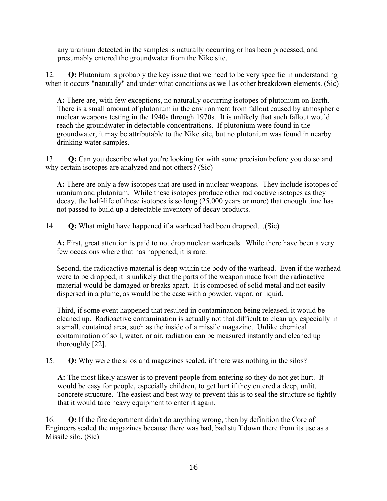any uranium detected in the samples is naturally occurring or has been processed, and presumably entered the groundwater from the Nike site.

12. **Q:** Plutonium is probably the key issue that we need to be very specific in understanding when it occurs "naturally" and under what conditions as well as other breakdown elements. (Sic)

**A:** There are, with few exceptions, no naturally occurring isotopes of plutonium on Earth. There is a small amount of plutonium in the environment from fallout caused by atmospheric nuclear weapons testing in the 1940s through 1970s. It is unlikely that such fallout would reach the groundwater in detectable concentrations. If plutonium were found in the groundwater, it may be attributable to the Nike site, but no plutonium was found in nearby drinking water samples.

13. **Q:** Can you describe what you're looking for with some precision before you do so and why certain isotopes are analyzed and not others? (Sic)

**A:** There are only a few isotopes that are used in nuclear weapons. They include isotopes of uranium and plutonium. While these isotopes produce other radioactive isotopes as they decay, the half-life of these isotopes is so long (25,000 years or more) that enough time has not passed to build up a detectable inventory of decay products.

14. **Q:** What might have happened if a warhead had been dropped…(Sic)

**A:** First, great attention is paid to not drop nuclear warheads. While there have been a very few occasions where that has happened, it is rare.

Second, the radioactive material is deep within the body of the warhead. Even if the warhead were to be dropped, it is unlikely that the parts of the weapon made from the radioactive material would be damaged or breaks apart. It is composed of solid metal and not easily dispersed in a plume, as would be the case with a powder, vapor, or liquid.

Third, if some event happened that resulted in contamination being released, it would be cleaned up. Radioactive contamination is actually not that difficult to clean up, especially in a small, contained area, such as the inside of a missile magazine. Unlike chemical contamination of soil, water, or air, radiation can be measured instantly and cleaned up thoroughly [22].

15. **Q:** Why were the silos and magazines sealed, if there was nothing in the silos?

**A:** The most likely answer is to prevent people from entering so they do not get hurt. It would be easy for people, especially children, to get hurt if they entered a deep, unlit, concrete structure. The easiest and best way to prevent this is to seal the structure so tightly that it would take heavy equipment to enter it again.

16. **Q:** If the fire department didn't do anything wrong, then by definition the Core of Engineers sealed the magazines because there was bad, bad stuff down there from its use as a Missile silo. (Sic)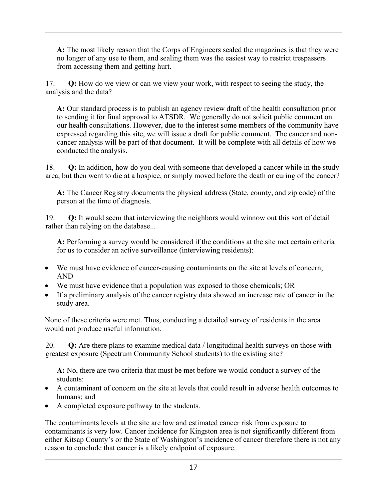**A:** The most likely reason that the Corps of Engineers sealed the magazines is that they were no longer of any use to them, and sealing them was the easiest way to restrict trespassers from accessing them and getting hurt.

17. **Q:** How do we view or can we view your work, with respect to seeing the study, the analysis and the data?

**A:** Our standard process is to publish an agency review draft of the health consultation prior to sending it for final approval to ATSDR. We generally do not solicit public comment on our health consultations. However, due to the interest some members of the community have expressed regarding this site, we will issue a draft for public comment. The cancer and noncancer analysis will be part of that document. It will be complete with all details of how we conducted the analysis.

18. **Q:** In addition, how do you deal with someone that developed a cancer while in the study area, but then went to die at a hospice, or simply moved before the death or curing of the cancer?

**A:** The Cancer Registry documents the physical address (State, county, and zip code) of the person at the time of diagnosis.

19. **Q:** It would seem that interviewing the neighbors would winnow out this sort of detail rather than relying on the database...

**A:** Performing a survey would be considered if the conditions at the site met certain criteria for us to consider an active surveillance (interviewing residents):

- We must have evidence of cancer-causing contaminants on the site at levels of concern; AND
- We must have evidence that a population was exposed to those chemicals; OR
- If a preliminary analysis of the cancer registry data showed an increase rate of cancer in the study area.

None of these criteria were met. Thus, conducting a detailed survey of residents in the area would not produce useful information.

20. **Q:** Are there plans to examine medical data / longitudinal health surveys on those with greatest exposure (Spectrum Community School students) to the existing site?

**A:** No, there are two criteria that must be met before we would conduct a survey of the students:

- A contaminant of concern on the site at levels that could result in adverse health outcomes to humans; and
- A completed exposure pathway to the students.

The contaminants levels at the site are low and estimated cancer risk from exposure to contaminants is very low. Cancer incidence for Kingston area is not significantly different from either Kitsap County's or the State of Washington's incidence of cancer therefore there is not any reason to conclude that cancer is a likely endpoint of exposure.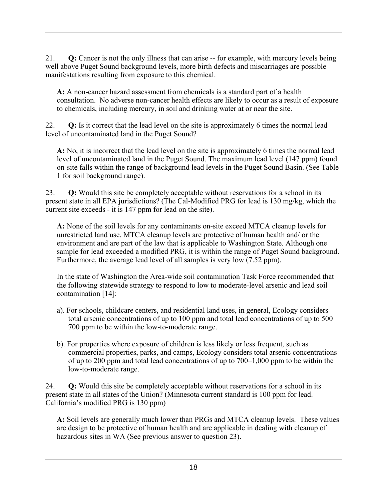21. **Q:** Cancer is not the only illness that can arise -- for example, with mercury levels being well above Puget Sound background levels, more birth defects and miscarriages are possible manifestations resulting from exposure to this chemical.

**A:** A non-cancer hazard assessment from chemicals is a standard part of a health consultation. No adverse non-cancer health effects are likely to occur as a result of exposure to chemicals, including mercury, in soil and drinking water at or near the site.

22. **Q:** Is it correct that the lead level on the site is approximately 6 times the normal lead level of uncontaminated land in the Puget Sound?

**A:** No, it is incorrect that the lead level on the site is approximately 6 times the normal lead level of uncontaminated land in the Puget Sound. The maximum lead level (147 ppm) found on-site falls within the range of background lead levels in the Puget Sound Basin. (See Table 1 for soil background range).

23. **Q:** Would this site be completely acceptable without reservations for a school in its present state in all EPA jurisdictions? (The Cal-Modified PRG for lead is 130 mg/kg, which the current site exceeds - it is 147 ppm for lead on the site).

**A:** None of the soil levels for any contaminants on-site exceed MTCA cleanup levels for unrestricted land use. MTCA cleanup levels are protective of human health and/ or the environment and are part of the law that is applicable to Washington State. Although one sample for lead exceeded a modified PRG, it is within the range of Puget Sound background. Furthermore, the average lead level of all samples is very low (7.52 ppm).

In the state of Washington the Area-wide soil contamination Task Force recommended that the following statewide strategy to respond to low to moderate-level arsenic and lead soil contamination [14]:

- a). For schools, childcare centers, and residential land uses, in general, Ecology considers total arsenic concentrations of up to 100 ppm and total lead concentrations of up to 500– 700 ppm to be within the low-to-moderate range.
- b). For properties where exposure of children is less likely or less frequent, such as commercial properties, parks, and camps, Ecology considers total arsenic concentrations of up to 200 ppm and total lead concentrations of up to 700–1,000 ppm to be within the low-to-moderate range.

24. **Q:** Would this site be completely acceptable without reservations for a school in its present state in all states of the Union? (Minnesota current standard is 100 ppm for lead. California's modified PRG is 130 ppm)

**A:** Soil levels are generally much lower than PRGs and MTCA cleanup levels. These values are design to be protective of human health and are applicable in dealing with cleanup of hazardous sites in WA (See previous answer to question 23).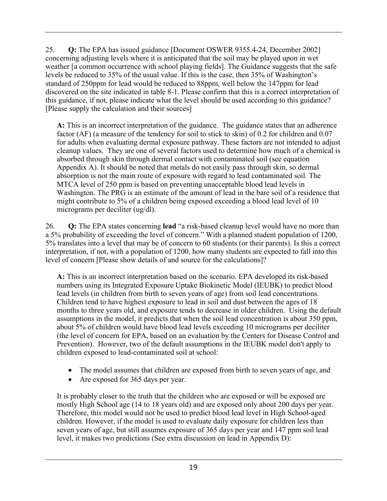25. **Q:** The EPA has issued guidance [Document OSWER 9355.4-24, December 2002] concerning adjusting levels where it is anticipated that the soil may be played upon in wet weather [a common occurrence with school playing fields]. The Guidance suggests that the safe levels be reduced to 35% of the usual value. If this is the case, then 35% of Washington's standard of 250ppm for lead would be reduced to 88ppm, well below the 147ppm for lead discovered on the site indicated in table 8-1. Please confirm that this is a correct interpretation of this guidance, if not, please indicate what the level should be used according to this guidance? [Please supply the calculation and their sources]

**A:** This is an incorrect interpretation of the guidance. The guidance states that an adherence factor (AF) (a measure of the tendency for soil to stick to skin) of 0.2 for children and 0.07 for adults when evaluating dermal exposure pathway. These factors are not intended to adjust cleanup values. They are one of several factors used to determine how much of a chemical is absorbed through skin through dermal contact with contaminated soil (see equation Appendix A). It should be noted that metals do not easily pass through skin, so dermal absorption is not the main route of exposure with regard to lead contaminated soil. The MTCA level of 250 ppm is based on preventing unacceptable blood lead levels in Washington. The PRG is an estimate of the amount of lead in the bare soil of a residence that might contribute to 5% of a children being exposed exceeding a blood lead level of 10 micrograms per deciliter (ug/dl).

26. **Q:** The EPA states concerning **lead** "a risk-based cleanup level would have no more than a 5% probability of exceeding the level of concern." With a planned student population of 1200, 5% translates into a level that may be of concern to 60 students (or their parents). Is this a correct interpretation, if not, with a population of 1200, how many students are expected to fall into this level of concern [Please show details of and source for the calculations]?

**A:** This is an incorrect interpretation based on the scenario. EPA developed its risk-based numbers using its Integrated Exposure Uptake Biokinetic Model (IEUBK) to predict blood lead levels (in children from birth to seven years of age) from soil lead concentrations. Children tend to have highest exposure to lead in soil and dust between the ages of 18 months to three years old, and exposure tends to decrease in older children. Using the default assumptions in the model, it predicts that when the soil lead concentration is about 350 ppm, about 5% of children would have blood lead levels exceeding 10 micrograms per deciliter (the level of concern for EPA, based on an evaluation by the Centers for Disease Control and Prevention). However, two of the default assumptions in the IEUBK model don't apply to children exposed to lead-contaminated soil at school:

- The model assumes that children are exposed from birth to seven years of age, and
- Are exposed for 365 days per year.

It is probably closer to the truth that the children who are exposed or will be exposed are mostly High School age (14 to 18 years old) and are exposed only about 200 days per year. Therefore, this model would not be used to predict blood lead level in High School-aged children. However, if the model is used to evaluate daily exposure for children less than seven years of age, but still assumes exposure of 365 days per year and 147 ppm soil lead level, it makes two predictions (See extra discussion on lead in Appendix D):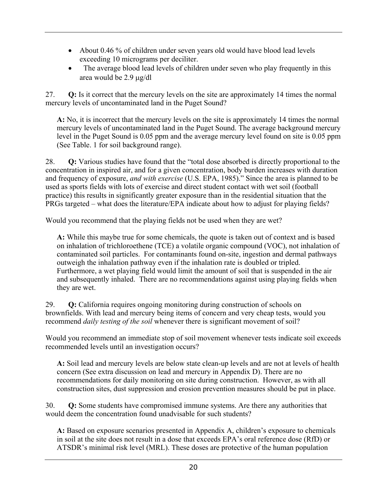- About 0.46 % of children under seven years old would have blood lead levels exceeding 10 micrograms per deciliter.
- The average blood lead levels of children under seven who play frequently in this area would be 2.9 µg/dl

27. **Q:** Is it correct that the mercury levels on the site are approximately 14 times the normal mercury levels of uncontaminated land in the Puget Sound?

**A:** No, it is incorrect that the mercury levels on the site is approximately 14 times the normal mercury levels of uncontaminated land in the Puget Sound. The average background mercury level in the Puget Sound is 0.05 ppm and the average mercury level found on site is 0.05 ppm (See Table. 1 for soil background range).

28. **Q:** Various studies have found that the "total dose absorbed is directly proportional to the concentration in inspired air, and for a given concentration, body burden increases with duration and frequency of exposure, *and with exercise* (U.S. EPA, 1985)." Since the area is planned to be used as sports fields with lots of exercise and direct student contact with wet soil (football practice) this results in significantly greater exposure than in the residential situation that the PRGs targeted – what does the literature/EPA indicate about how to adjust for playing fields?

Would you recommend that the playing fields not be used when they are wet?

**A:** While this maybe true for some chemicals, the quote is taken out of context and is based on inhalation of trichloroethene (TCE) a volatile organic compound (VOC), not inhalation of contaminated soil particles. For contaminants found on-site, ingestion and dermal pathways outweigh the inhalation pathway even if the inhalation rate is doubled or tripled. Furthermore, a wet playing field would limit the amount of soil that is suspended in the air and subsequently inhaled. There are no recommendations against using playing fields when they are wet.

29. **Q:** California requires ongoing monitoring during construction of schools on brownfields. With lead and mercury being items of concern and very cheap tests, would you recommend *daily testing of the soil* whenever there is significant movement of soil?

Would you recommend an immediate stop of soil movement whenever tests indicate soil exceeds recommended levels until an investigation occurs?

**A:** Soil lead and mercury levels are below state clean-up levels and are not at levels of health concern (See extra discussion on lead and mercury in Appendix D). There are no recommendations for daily monitoring on site during construction. However, as with all construction sites, dust suppression and erosion prevention measures should be put in place.

30. **Q:** Some students have compromised immune systems. Are there any authorities that would deem the concentration found unadvisable for such students?

**A:** Based on exposure scenarios presented in Appendix A, children's exposure to chemicals in soil at the site does not result in a dose that exceeds EPA's oral reference dose (RfD) or ATSDR's minimal risk level (MRL). These doses are protective of the human population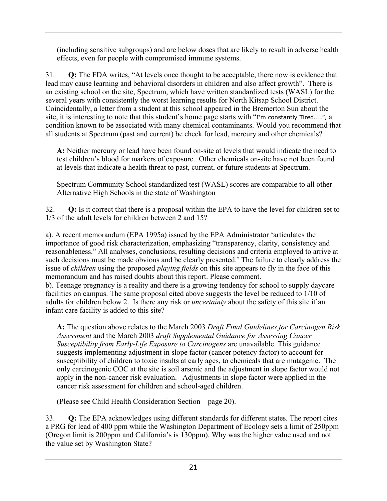(including sensitive subgroups) and are below doses that are likely to result in adverse health effects, even for people with compromised immune systems.

31. **Q:** The FDA writes, "At levels once thought to be acceptable, there now is evidence that lead may cause learning and behavioral disorders in children and also affect growth". There is an existing school on the site, Spectrum, which have written standardized tests (WASL) for the several years with consistently the worst learning results for North Kitsap School District. Coincidentally, a letter from a student at this school appeared in the Bremerton Sun about the site, it is interesting to note that this student's home page starts with "I'm constantly Tired....", a condition known to be associated with many chemical contaminants. Would you recommend that all students at Spectrum (past and current) be check for lead, mercury and other chemicals?

**A:** Neither mercury or lead have been found on-site at levels that would indicate the need to test children's blood for markers of exposure. Other chemicals on-site have not been found at levels that indicate a health threat to past, current, or future students at Spectrum.

Spectrum Community School standardized test (WASL) scores are comparable to all other Alternative High Schools in the state of Washington

32. **Q:** Is it correct that there is a proposal within the EPA to have the level for children set to 1/3 of the adult levels for children between 2 and 15?

a). A recent memorandum (EPA 1995a) issued by the EPA Administrator 'articulates the importance of good risk characterization, emphasizing "transparency, clarity, consistency and reasonableness." All analyses, conclusions, resulting decisions and criteria employed to arrive at such decisions must be made obvious and be clearly presented.' The failure to clearly address the issue of *children* using the proposed *playing fields* on this site appears to fly in the face of this memorandum and has raised doubts about this report. Please comment.

b). Teenage pregnancy is a reality and there is a growing tendency for school to supply daycare facilities on campus. The same proposal cited above suggests the level be reduced to 1/10 of adults for children below 2. Is there any risk or *uncertainty* about the safety of this site if an infant care facility is added to this site?

**A:** The question above relates to the March 2003 *Draft Final Guidelines for Carcinogen Risk Assessment* and the March 2003 *draft Supplemental Guidance for Assessing Cancer Susceptibility from Early-Life Exposure to Carcinogens* are unavailable. This guidance suggests implementing adjustment in slope factor (cancer potency factor) to account for susceptibility of children to toxic insults at early ages, to chemicals that are mutagenic. The only carcinogenic COC at the site is soil arsenic and the adjustment in slope factor would not apply in the non-cancer risk evaluation. Adjustments in slope factor were applied in the cancer risk assessment for children and school-aged children.

(Please see Child Health Consideration Section – page 20).

33. **Q:** The EPA acknowledges using different standards for different states. The report cites a PRG for lead of 400 ppm while the Washington Department of Ecology sets a limit of 250ppm (Oregon limit is 200ppm and California's is 130ppm). Why was the higher value used and not the value set by Washington State?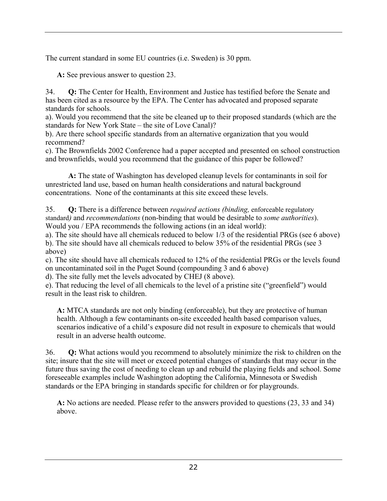The current standard in some EU countries (i.e. Sweden) is 30 ppm.

**A:** See previous answer to question 23.

34. **Q:** The Center for Health, Environment and Justice has testified before the Senate and has been cited as a resource by the EPA. The Center has advocated and proposed separate standards for schools.

a). Would you recommend that the site be cleaned up to their proposed standards (which are the standards for New York State – the site of Love Canal)?

b). Are there school specific standards from an alternative organization that you would recommend?

c). The Brownfields 2002 Conference had a paper accepted and presented on school construction and brownfields, would you recommend that the guidance of this paper be followed?

**A:** The state of Washington has developed cleanup levels for contaminants in soil for unrestricted land use, based on human health considerations and natural background concentrations. None of the contaminants at this site exceed these levels.

35. **Q:** There is a difference between *required actions (binding,* enforceable regulatory standard*)* and *recommendations* (non-binding that would be desirable to *some authorities*). Would you / EPA recommends the following actions (in an ideal world):

a). The site should have all chemicals reduced to below 1/3 of the residential PRGs (see 6 above) b). The site should have all chemicals reduced to below 35% of the residential PRGs (see 3 above)

c). The site should have all chemicals reduced to 12% of the residential PRGs or the levels found on uncontaminated soil in the Puget Sound (compounding 3 and 6 above)

d). The site fully met the levels advocated by CHEJ (8 above).

e). That reducing the level of all chemicals to the level of a pristine site ("greenfield") would result in the least risk to children.

**A:** MTCA standards are not only binding (enforceable), but they are protective of human health. Although a few contaminants on-site exceeded health based comparison values, scenarios indicative of a child's exposure did not result in exposure to chemicals that would result in an adverse health outcome.

36. **Q:** What actions would you recommend to absolutely minimize the risk to children on the site; insure that the site will meet or exceed potential changes of standards that may occur in the future thus saving the cost of needing to clean up and rebuild the playing fields and school. Some foreseeable examples include Washington adopting the California, Minnesota or Swedish standards or the EPA bringing in standards specific for children or for playgrounds.

**A:** No actions are needed. Please refer to the answers provided to questions (23, 33 and 34) above.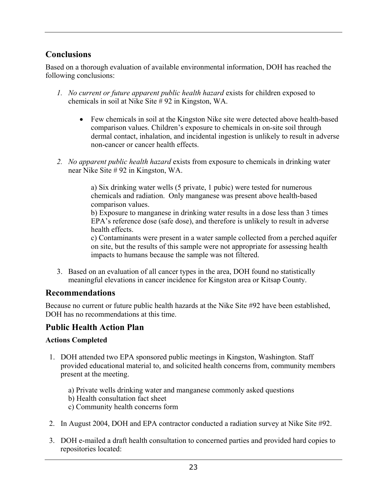# **Conclusions**

Based on a thorough evaluation of available environmental information, DOH has reached the following conclusions:

- *1. No current or future apparent public health hazard* exists for children exposed to chemicals in soil at Nike Site  $\frac{1}{4}$  92 in Kingston, WA.
	- Few chemicals in soil at the Kingston Nike site were detected above health-based comparison values. Children's exposure to chemicals in on-site soil through dermal contact, inhalation, and incidental ingestion is unlikely to result in adverse non-cancer or cancer health effects.
- *2. No apparent public health hazard* exists from exposure to chemicals in drinking water near Nike Site # 92 in Kingston, WA.

a) Six drinking water wells (5 private, 1 pubic) were tested for numerous chemicals and radiation. Only manganese was present above health-based comparison values.

b) Exposure to manganese in drinking water results in a dose less than 3 times EPA's reference dose (safe dose), and therefore is unlikely to result in adverse health effects.

c) Contaminants were present in a water sample collected from a perched aquifer on site, but the results of this sample were not appropriate for assessing health impacts to humans because the sample was not filtered.

3. Based on an evaluation of all cancer types in the area, DOH found no statistically meaningful elevations in cancer incidence for Kingston area or Kitsap County.

### **Recommendations**

Because no current or future public health hazards at the Nike Site #92 have been established, DOH has no recommendations at this time.

## **Public Health Action Plan**

### **Actions Completed**

- 1. DOH attended two EPA sponsored public meetings in Kingston, Washington. Staff provided educational material to, and solicited health concerns from, community members present at the meeting.
	- a) Private wells drinking water and manganese commonly asked questions
	- b) Health consultation fact sheet
	- c) Community health concerns form
- 2. In August 2004, DOH and EPA contractor conducted a radiation survey at Nike Site #92.
- 3. DOH e-mailed a draft health consultation to concerned parties and provided hard copies to repositories located: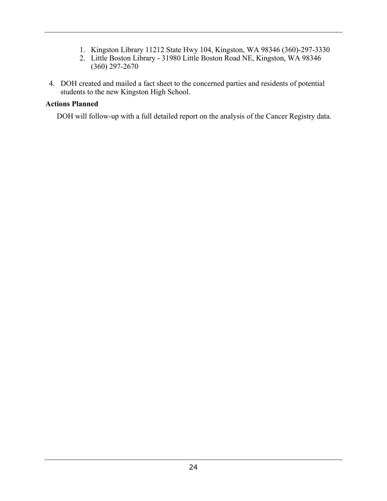- 1. Kingston Library 11212 State Hwy 104, Kingston, WA 98346 (360)-297-3330
- 2. Little Boston Library 31980 Little Boston Road NE, Kingston, WA 98346 (360) 297-2670
- 4. DOH created and mailed a fact sheet to the concerned parties and residents of potential students to the new Kingston High School.

### **Actions Planned**

DOH will follow-up with a full detailed report on the analysis of the Cancer Registry data.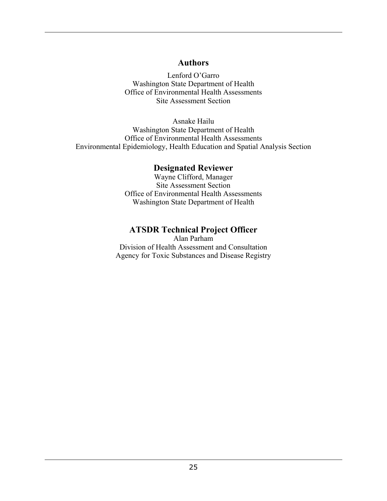### **Authors**

Lenford O'Garro Washington State Department of Health Office of Environmental Health Assessments Site Assessment Section

Asnake Hailu Washington State Department of Health Office of Environmental Health Assessments Environmental Epidemiology, Health Education and Spatial Analysis Section

### **Designated Reviewer**

Wayne Clifford, Manager Site Assessment Section Office of Environmental Health Assessments Washington State Department of Health

## **ATSDR Technical Project Officer**

Alan Parham Division of Health Assessment and Consultation Agency for Toxic Substances and Disease Registry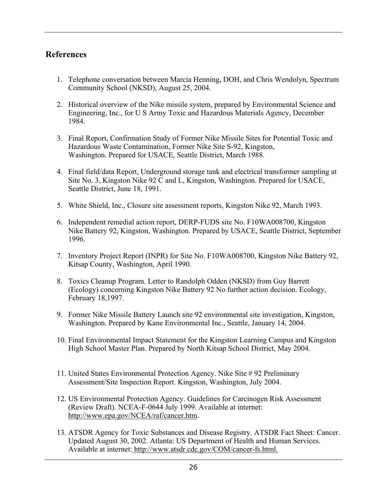### **References**

- 1. Telephone conversation between Marcia Henning, DOH, and Chris Wendolyn, Spectrum Community School (NKSD), August 25, 2004.
- 2. Historical overview of the Nike missile system, prepared by Environmental Science and Engineering, Inc., for U S Army Toxic and Hazardous Materials Agency, December 1984.
- 3. Final Report, Confirmation Study of Former Nike Missile Sites for Potential Toxic and Hazardous Waste Contamination, Former Nike Site S-92, Kingston, Washington. Prepared for USACE, Seattle District, March 1988.
- 4. Final field/data Report, Underground storage tank and electrical transformer sampling at Site No. 3, Kingston Nike 92  $\check{C}$  and L, Kingston, Washington. Prepared for USACE, Seattle District, June 18, 1991.
- 5. White Shield, Inc., Closure site assessment reports, Kingston Nike 92, March 1993.
- 6. Independent remedial action report, DERP-FUDS site No. F10WA008700, Kingston Nike Battery 92, Kingston, Washington. Prepared by USACE, Seattle District, September 1996.
- 7. Inventory Project Report (INPR) for Site No. F10WA008700, Kingston Nike Battery 92, Kitsap County, Washington, April 1990.
- 8. Toxics Cleanup Program. Letter to Randolph Odden (NKSD) from Guy Barrett (Ecology) concerning Kingston Nike Battery 92 No further action decision. Ecology, February 18,1997.
- 9. Former Nike Missile Battery Launch site 92 environmental site investigation, Kingston, Washington. Prepared by Kane Environmental Inc., Seattle, January 14, 2004.
- 10. Final Environmental Impact Statement for the Kingston Learning Campus and Kingston High School Master Plan. Prepared by North Kitsap School District, May 2004.
- 11. United States Environmental Protection Agency. Nike Site # 92 Preliminary Assessment/Site Inspection Report. Kingston, Washington, July 2004.
- 12. US Environmental Protection Agency. Guidelines for Carcinogen Risk Assessment (Review Draft). NCEA-F-0644 July 1999. Available at internet: http://www.epa.gov/NCEA/raf/cancer.htm.
- 13. ATSDR Agency for Toxic Substances and Disease Registry. ATSDR Fact Sheet: Cancer. Updated August 30, 2002. Atlanta: US Department of Health and Human Services. Available at internet: http://www.atsdr.cdc.gov/COM/cancer-fs.html.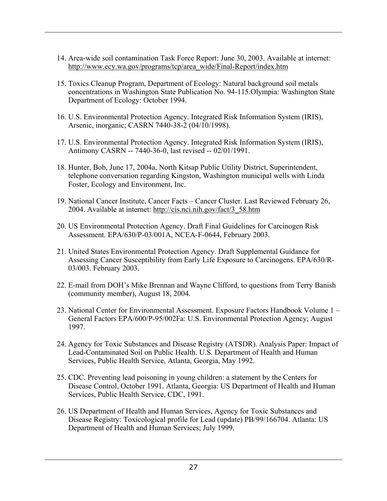- 14. Area-wide soil contamination Task Force Report: June 30, 2003. Available at internet: http://www.ecy.wa.gov/programs/tcp/area\_wide/Final-Report/index.htm
- 15. Toxics Cleanup Program, Department of Ecology: Natural background soil metals concentrations in Washington State Publication No. 94-115.Olympia: Washington State Department of Ecology: October 1994.
- 16. U.S. Environmental Protection Agency. Integrated Risk Information System (IRIS), Arsenic, inorganic; CASRN 7440-38-2 (04/10/1998).
- 17. U.S. Environmental Protection Agency. Integrated Risk Information System (IRIS), Antimony CASRN -- 7440-36-0, last revised -- 02/01/1991.
- 18. Hunter, Bob, June 17, 2004a, North Kitsap Public Utility District, Superintendent, telephone conversation regarding Kingston, Washington municipal wells with Linda Foster, Ecology and Environment, Inc.
- 19. National Cancer Institute, Cancer Facts Cancer Cluster. Last Reviewed February 26, 2004. Available at internet: http://cis.nci.nih.gov/fact/3\_58.htm
- 20. US Environmental Protection Agency. Draft Final Guidelines for Carcinogen Risk Assessment. EPA/630/P-03/001A, NCEA-F-0644, February 2003.
- 21. United States Environmental Protection Agency. Draft Supplemental Guidance for Assessing Cancer Susceptibility from Early Life Exposure to Carcinogens. EPA/630/R-03/003. February 2003.
- 22. E-mail from DOH's Mike Brennan and Wayne Clifford, to questions from Terry Banish (community member), August 18, 2004.
- 23. National Center for Environmental Assessment. Exposure Factors Handbook Volume 1 General Factors EPA/600/P-95/002Fa: U.S. Environmental Protection Agency; August 1997.
- 24. Agency for Toxic Substances and Disease Registry (ATSDR). Analysis Paper: Impact of Lead-Contaminated Soil on Public Health. U.S. Department of Health and Human Services, Public Health Service, Atlanta, Georgia, May 1992.
- 25. CDC. Preventing lead poisoning in young children: a statement by the Centers for Disease Control, October 1991. Atlanta, Georgia: US Department of Health and Human Services, Public Health Service, CDC, 1991.
- 26. US Department of Health and Human Services, Agency for Toxic Substances and Disease Registry: Toxicological profile for Lead (update) PB/99/166704. Atlanta: US Department of Health and Human Services; July 1999.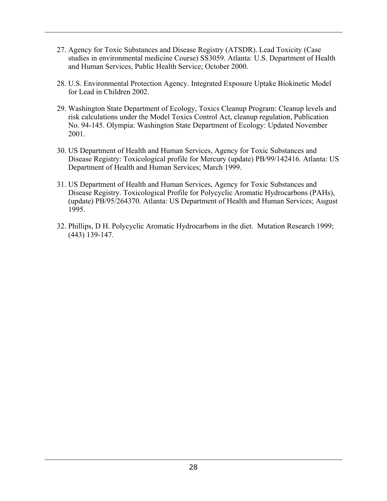- 27. Agency for Toxic Substances and Disease Registry (ATSDR). Lead Toxicity (Case studies in environmental medicine Course) SS3059. Atlanta: U.S. Department of Health and Human Services, Public Health Service; October 2000.
- 28. U.S. Environmental Protection Agency. Integrated Exposure Uptake Biokinetic Model for Lead in Children 2002.
- 29. Washington State Department of Ecology, Toxics Cleanup Program: Cleanup levels and risk calculations under the Model Toxics Control Act, cleanup regulation, Publication No. 94-145. Olympia: Washington State Department of Ecology: Updated November 2001.
- 30. US Department of Health and Human Services, Agency for Toxic Substances and Disease Registry: Toxicological profile for Mercury (update) PB/99/142416. Atlanta: US Department of Health and Human Services; March 1999.
- 31. US Department of Health and Human Services, Agency for Toxic Substances and Disease Registry. Toxicological Profile for Polycyclic Aromatic Hydrocarbons (PAHs), (update) PB/95/264370. Atlanta: US Department of Health and Human Services; August 1995.
- 32. Phillips, D H. Polycyclic Aromatic Hydrocarbons in the diet. Mutation Research 1999; (443) 139-147.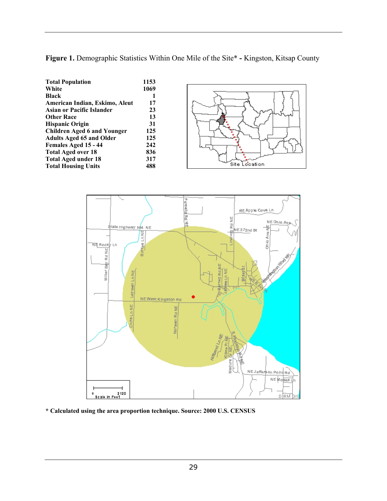**Figure 1.** Demographic Statistics Within One Mile of the Site\* **-** Kingston, Kitsap County

| <b>Total Population</b>            | 1153 |
|------------------------------------|------|
| White                              | 1069 |
| Black                              | 1    |
| American Indian, Eskimo, Aleut     | 17   |
| Asian or Pacific Islander          | 23   |
| <b>Other Race</b>                  | 13   |
| <b>Hispanic Origin</b>             | 31   |
| <b>Children Aged 6 and Younger</b> | 125  |
| <b>Adults Aged 65 and Older</b>    | 125  |
| Females Aged 15 - 44               | 242  |
| <b>Total Aged over 18</b>          | 836  |
| <b>Total Aged under 18</b>         | 317  |
| <b>Total Housing Units</b>         | 488  |





**\* Calculated using the area proportion technique. Source: 2000 U.S. CENSUS**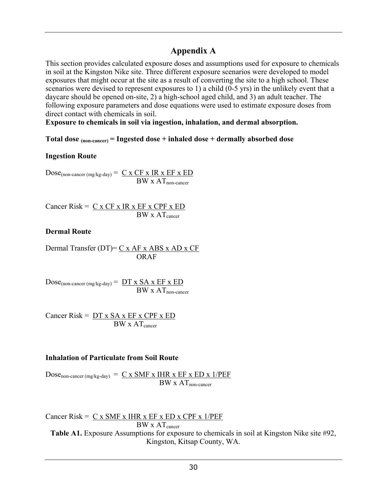## **Appendix A**

This section provides calculated exposure doses and assumptions used for exposure to chemicals in soil at the Kingston Nike site. Three different exposure scenarios were developed to model exposures that might occur at the site as a result of converting the site to a high school. These scenarios were devised to represent exposures to 1) a child (0-5 yrs) in the unlikely event that a daycare should be opened on-site, 2) a high-school aged child, and 3) an adult teacher. The following exposure parameters and dose equations were used to estimate exposure doses from direct contact with chemicals in soil.

**Exposure to chemicals in soil via ingestion, inhalation, and dermal absorption.** 

#### **Total dose (non-cancer) = Ingested dose + inhaled dose + dermally absorbed dose**

#### **Ingestion Route**

 $Dose_{(non-cancer (mg/kg-day))} = C \times CF \times IR \times EF \times ED$  $BW \times AT_{non-cancer}$ 

Cancer Risk =  $C x CF x IR x EF x CPF x ED$  $BW \times AT_{cancer}$ 

#### **Dermal Route**

Dermal Transfer (DT)=  $C x AF x ABS x AD x CF$ ORAF

 $Dose_{(non\text{-}cancer (mg/kg-day)} = DT x SA x EF x ED$  $BW \times AT_{non-cancer}$ 

Cancer Risk =  $DT x SA x EF x CPF x ED$  $BW \times AT_{\text{cancer}}$ 

#### **Inhalation of Particulate from Soil Route**

 $Dose_{non-cancer (mg/kg-day)} = C x SMF x IHR x EF x ED x 1/PEF$  $BW \times AT$ <sub>non-cancer</sub>

Cancer Risk =  $C x SMF x IHR x EF x ED x CPF x 1/PEF$  $BW \times AT_{cancer}$ Table A1. Exposure Assumptions for exposure to chemicals in soil at Kingston Nike site #92, Kingston, Kitsap County, WA.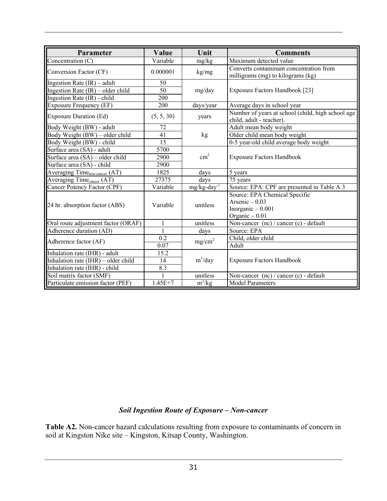| Parameter                                 | Value        | Unit                       | <b>Comments</b>                                                                           |
|-------------------------------------------|--------------|----------------------------|-------------------------------------------------------------------------------------------|
| Concentration (C)                         | Variable     | mg/kg                      | Maximum detected value                                                                    |
| Conversion Factor (CF)                    | 0.000001     | kg/mg                      | Converts contaminant concentration from<br>milligrams (mg) to kilograms (kg)              |
| Ingestion Rate $(IR)$ – adult             | 50           |                            |                                                                                           |
| Ingestion Rate $(IR)$ – older child       | 50           | mg/day                     | Exposure Factors Handbook [23]                                                            |
| Ingestion Rate (IR) - child               | 200          |                            |                                                                                           |
| Exposure Frequency (EF)                   | 200          | days/year                  | Average days in school year                                                               |
| <b>Exposure Duration (Ed)</b>             | (5, 5, 30)   | years                      | Number of years at school (child, high school age<br>child, adult - teacher).             |
| Body Weight (BW) - adult                  | 72           |                            | Adult mean body weight                                                                    |
| Body Weight (BW) - older child            | 41           | kg                         | Older child mean body weight                                                              |
| Body Weight (BW) - child                  | 15           |                            | 0-5 year-old child average body weight                                                    |
| Surface area (SA) - adult                 | 5700         |                            |                                                                                           |
| Surface area (SA) – older child           | 2900         | $\text{cm}^2$              | <b>Exposure Factors Handbook</b>                                                          |
| Surface area (SA) - child                 | 2900         |                            |                                                                                           |
| Averaging Time <sub>non-cancer</sub> (AT) | 1825         | days                       | 5 years                                                                                   |
| Averaging Time <sub>cancer</sub> (AT)     | 27375        | days                       | 75 years                                                                                  |
| Cancer Potency Factor (CPF)               | Variable     | $mg/kg$ -day <sup>-1</sup> | Source: EPA: CPF are presented in Table A 3                                               |
| 24 hr. absorption factor (ABS)            | Variable     | unitless                   | Source: EPA Chemical Specific<br>Arsenic $-0.03$<br>Inorganic $-0.001$<br>Organic $-0.01$ |
| Oral route adjustment factor (ORAF)       | $\mathbf{1}$ | unitless                   | Non-cancer $(nc)/c$ cancer $(c)$ - default                                                |
| Adherence duration (AD)                   | $\mathbf{1}$ | days                       | Source: EPA                                                                               |
| Adherence factor (AF)                     | 0.2<br>0.07  | mg/cm <sup>2</sup>         | Child, older child<br>Adult                                                               |
| Inhalation rate (IHR) - adult             | 15.2         |                            |                                                                                           |
| Inhalation rate (IHR) - older child       | 14           | $m^3$ /day                 | <b>Exposure Factors Handbook</b>                                                          |
| Inhalation rate (IHR) - child             | 8.3          |                            |                                                                                           |
| Soil matrix factor (SMF)                  |              | unitless                   | Non-cancer (nc) / cancer (c) - default                                                    |
| Particulate emission factor (PEF)         | $1.45E + 7$  | $m^3/kg$                   | <b>Model Parameters</b>                                                                   |

#### *Soil Ingestion Route of Exposure – Non-cancer*

**Table A2.** Non-cancer hazard calculations resulting from exposure to contaminants of concern in soil at Kingston Nike site – Kingston, Kitsap County, Washington.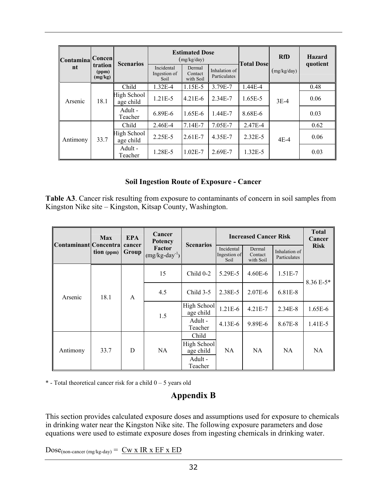| Contamina Concen |                             | <b>Scenarios</b>         |                                    | <b>Estimated Dose</b><br>(mg/kg/day) |                               | <b>Total Dose</b> | <b>RfD</b>  | <b>Hazard</b><br>quotient |
|------------------|-----------------------------|--------------------------|------------------------------------|--------------------------------------|-------------------------------|-------------------|-------------|---------------------------|
| nt               | tration<br>(ppm)<br>(mg/kg) |                          | Incidental<br>Ingestion of<br>Soil | Dermal<br>Contact<br>with Soil       | Inhalation of<br>Particulates |                   | (mg/kg/day) |                           |
|                  |                             | Child                    | $1.32E - 4$                        | 1.15E-5                              | 3.79E-7                       | $1.44E - 4$       |             | 0.48                      |
| Arsenic          | 18.1                        | High School<br>age child | $1.21E - 5$                        | $4.21E-6$                            | 2.34E-7                       | 1.65E-5           | $3E-4$      | 0.06                      |
|                  |                             | Adult -<br>Teacher       | 6.89E-6                            | $1.65E-6$                            | 1.44E-7                       | 8.68E-6           |             | 0.03                      |
|                  |                             | Child                    | 2.46E-4                            | $7.14E - 7$                          | 7.05E-7                       | 2.47E-4           |             | 0.62                      |
| Antimony         | 33.7                        | High School<br>age child | $2.25E - 5$                        | $2.61E - 7$                          | 4.35E-7                       | 2.32E-5           | $4E-4$      | 0.06                      |
|                  |                             | Adult -<br>Teacher       | 1.28E-5                            | $1.02E - 7$                          | 2.69E-7                       | $1.32E - 5$       |             | 0.03                      |

#### **Soil Ingestion Route of Exposure - Cancer**

**Table A3**. Cancer risk resulting from exposure to contaminants of concern in soil samples from Kingston Nike site – Kingston, Kitsap County, Washington.

| Contaminant Concentra | <b>Max</b> | <b>EPA</b>      | Cancer<br><b>Potency</b>     | <b>Scenarios</b>         | <b>Increased Cancer Risk</b>       | <b>Total</b><br>Cancer         |                               |             |
|-----------------------|------------|-----------------|------------------------------|--------------------------|------------------------------------|--------------------------------|-------------------------------|-------------|
|                       | tion (ppm) | cancer<br>Group | Factor<br>$(mg/kg-day^{-1})$ |                          | Incidental<br>Ingestion of<br>Soil | Dermal<br>Contact<br>with Soil | Inhalation of<br>Particulates | <b>Risk</b> |
|                       |            |                 | 15                           | $Child 0-2$              | 5.29E-5                            | $4.60E - 6$                    | $1.51E-7$                     | 8.36 E-5*   |
| Arsenic               | 18.1       | $\mathsf{A}$    | 4.5                          | Child $3-5$              | 2.38E-5                            | 2.07E-6                        | 6.81E-8                       |             |
|                       |            |                 | 1.5                          | High School<br>age child | $1.21E-6$                          | $4.21E - 7$                    | $2.34E-8$                     | $1.65E-6$   |
|                       |            |                 |                              | Adult -<br>Teacher       | $4.13E - 6$                        | 9.89E-6                        | 8.67E-8                       | 1.41E-5     |
| Antimony              | 33.7       |                 |                              | Child                    |                                    |                                |                               |             |
|                       |            | D               | NA.                          | High School<br>age child | NA                                 | NA                             | NA                            | NA          |
|                       |            |                 |                              | Adult -<br>Teacher       |                                    |                                |                               |             |

 $*$  - Total theoretical cancer risk for a child  $0 - 5$  years old

## **Appendix B**

This section provides calculated exposure doses and assumptions used for exposure to chemicals in drinking water near the Kingston Nike site. The following exposure parameters and dose equations were used to estimate exposure doses from ingesting chemicals in drinking water.

 $Dose_{(non\text{-}cancer \,(mg/kg\text{-}day))} = \underline{Cw \times IR \times EF \times ED}$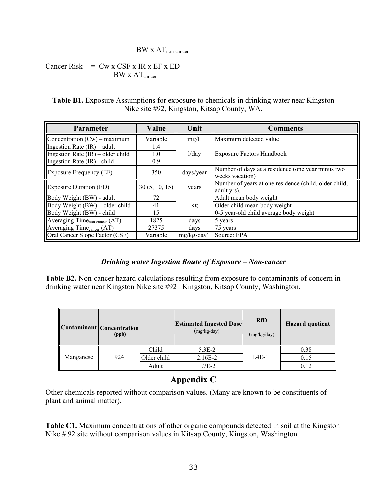#### BW x AT<sub>non-cancer</sub>

Cancer Risk  $=$   $Cw x CSF x IR x EF x ED$  $BW \times AT_{cancer}$ 

**Table B1.** Exposure Assumptions for exposure to chemicals in drinking water near Kingston Nike site #92, Kingston, Kitsap County, WA.

| Parameter                                 | Value         | Unit      | <b>Comments</b>                                                      |
|-------------------------------------------|---------------|-----------|----------------------------------------------------------------------|
| Concentration $(Cw)$ – maximum            | Variable      | mg/L      | Maximum detected value                                               |
| Ingestion Rate $(IR)$ – adult             | 1.4           |           |                                                                      |
| Ingestion Rate $(IR)$ – older child       | 1.0           | 1/day     | <b>Exposure Factors Handbook</b>                                     |
| Ingestion Rate (IR) - child               | 0.9           |           |                                                                      |
| <b>Exposure Frequency (EF)</b>            | 350           | days/year | Number of days at a residence (one year minus two<br>weeks vacation) |
| <b>Exposure Duration (ED)</b>             | 30(5, 10, 15) | years     | Number of years at one residence (child, older child,<br>adult yrs). |
| Body Weight (BW) - adult                  | 72            |           | Adult mean body weight                                               |
| Body Weight (BW) – older child            | 41            | kg        | Older child mean body weight                                         |
| Body Weight (BW) - child                  | 15            |           | 0-5 year-old child average body weight                               |
| Averaging Time <sub>non-cancer</sub> (AT) | 1825          | days      | 5 years                                                              |
| Averaging Time <sub>cancer</sub> (AT)     | 27375         | days      | 75 years                                                             |
| Oral Cancer Slope Factor (CSF)            | Variable      | mg/kg-day | Source: EPA                                                          |

### *Drinking water Ingestion Route of Exposure – Non-cancer*

**Table B2.** Non-cancer hazard calculations resulting from exposure to contaminants of concern in drinking water near Kingston Nike site #92– Kingston, Kitsap County, Washington.

|           | Contaminant Concentration<br>(ppb) |             | <b>Estimated Ingested Dose</b><br>(mg/kg/day) | <b>RfD</b><br>(mg/kg/day) | <b>Hazard</b> quotient |
|-----------|------------------------------------|-------------|-----------------------------------------------|---------------------------|------------------------|
|           |                                    | Child       | $5.3E-2$                                      |                           | 0.38                   |
| Manganese | 924                                | Older child | 2.16E-2                                       | $1.4E-1$                  | 0.15                   |
|           |                                    | Adult       | 1.7E-2                                        |                           | 0.12                   |

## **Appendix C**

Other chemicals reported without comparison values. (Many are known to be constituents of plant and animal matter).

**Table C1.** Maximum concentrations of other organic compounds detected in soil at the Kingston Nike # 92 site without comparison values in Kitsap County, Kingston, Washington.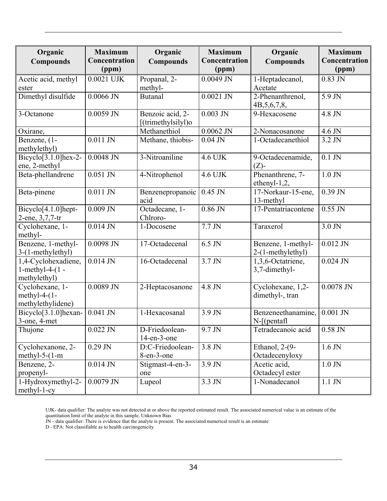| Organic<br><b>Compounds</b>                               | <b>Maximum</b><br>Concentration<br>(ppm) | Organic<br><b>Compounds</b>                  | <b>Maximum</b><br>Concentration<br>(ppm) | Organic<br><b>Compounds</b>             | <b>Maximum</b><br>Concentration<br>(ppm) |
|-----------------------------------------------------------|------------------------------------------|----------------------------------------------|------------------------------------------|-----------------------------------------|------------------------------------------|
| Acetic acid, methyl<br>ester                              | $0.0021$ UJK                             | Propanal, 2-<br>methyl-                      | $0.0049$ JN                              | 1-Heptadecanol,<br>Acetate              | $0.83$ JN                                |
| Dimethyl disulfide                                        | $0.0066$ JN                              | <b>Butanal</b>                               | $0.0021$ JN                              | 2-Phenanthrenol,<br>4B, 5, 6, 7, 8,     | 5.9 JN                                   |
| 3-Octanone                                                | $0.0059$ JN                              | Benzoic acid, 2-<br>$[$ (trimethylsilyl) $o$ | $0.003$ JN                               | 9-Hexacosene                            | 4.8 JN                                   |
| Oxirane,                                                  |                                          | Methanethiol                                 | $0.0062$ JN                              | 2-Nonacosanone                          | 4.6 JN                                   |
| Benzene, (1-<br>methylethyl)                              | $0.011$ JN                               | Methane, thiobis-                            | $0.04$ JN                                | 1-Octadecanethiol                       | 3.2 JN                                   |
| Bicyclo[3.1.0]hex-2-<br>ene, 2-methyl                     | $0.0048$ JN                              | 3-Nitroaniline                               | 4.6 UJK                                  | 9-Octadecenamide,<br>$(Z)$ -            | $0.1$ JN                                 |
| Beta-phellandrene                                         | $0.051$ JN                               | 4-Nitrophenol                                | 4.6 UJK                                  | Phenanthrene, 7-<br>ethenyl-1,2,        | $1.0$ JN                                 |
| Beta-pinene                                               | $0.011$ JN                               | Benzenepropanoic<br>acid                     | $0.45$ JN                                | 17-Norkaur-15-ene,<br>13-methyl         | $0.39$ JN                                |
| Bicyclo[4.1.0]hept-<br>2-ene, 3,7,7-tr                    | $0.009$ JN                               | Octadecane, 1-<br>Chlroro-                   | $0.86$ JN                                | 17-Pentatriacontene                     | $0.55$ JN                                |
| Cyclohexane, 1-<br>methyl-                                | $0.014$ JN                               | 1-Docosene                                   | $7.7$ JN                                 | Taraxerol                               | $3.0$ JN                                 |
| Benzene, 1-methyl-<br>3-(1-methylethyl)                   | $0.0098$ JN                              | 17-Octadecenal                               | $6.5$ JN                                 | Benzene, 1-methyl-<br>2-(1-methylethyl) | $0.012$ JN                               |
| 1,4-Cyclohexadiene,<br>1-methyl-4- $(1 -$<br>methylethyl) | $0.014$ JN                               | 16-Octadecenal                               | $3.7$ JN                                 | 1,3,6-Octatriene,<br>3,7-dimethyl-      | $0.024$ JN                               |
| Cyclohexane, 1-<br>methyl-4- $(1-$<br>methylethylidene)   | $0.0089$ JN                              | 2-Heptacosanone                              | 4.8 JN                                   | Cyclohexane, 1,2-<br>dimethyl-, tran    | $0.0078$ JN                              |
| Bicyclo <sup>[3.1.0]</sup> hexan-<br>$3$ -one, $4$ -met   | $0.041$ JN                               | 1-Hexacosanal                                | 3.9 JN                                   | Benzeneethanamine,<br>$N-[(pentaf]$     | $0.001$ JN                               |
| Thujone                                                   | $0.022$ JN                               | D-Friedoolean-<br>$14$ -en- $3$ -one         | 9.7 JN                                   | Tetradecanoic acid                      | $0.58$ JN                                |
| Cyclohexanone, 2-<br>methyl-5- $(1-m)$                    | $0.29$ JN                                | D:C-Friedoolean-<br>8-en-3-one               | 3.8 JN                                   | Ethanol, $2-(9-$<br>Octadecenyloxy      | $1.6$ JN                                 |
| Benzene, 2-<br>propenyl-                                  | $0.014$ JN                               | Stigmast-4-en-3-<br>one                      | 3.9 JN                                   | Acetic acid,<br>Octadecyl ester         | $1.0$ JN                                 |
| 1-Hydroxymethyl-2-<br>$methyl-1-cy$                       | $0.0079$ JN                              | Lupeol                                       | 3.3 JN                                   | 1-Nonadecanol                           | $1.1$ JN $\,$                            |

UJK- data qualifier: The analyte was not detected at or above the reported estimated result. The associated numerical value is an estimate of the quantitation limit of the analyte in this sample. Unknown Bias

JN - data qualifier: There is evidence that the analyte is present. The associated numerical result is an estimate

D - EPA: Not classifiable as to health carcinogenicity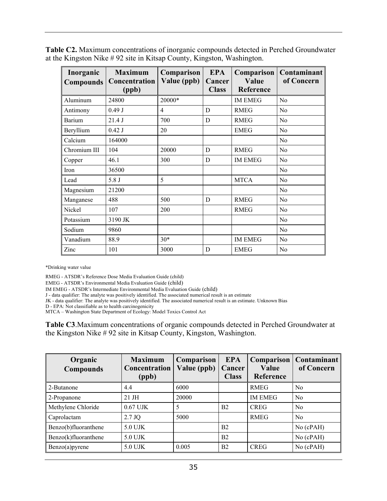| <b>Table C2.</b> Maximum concentrations of inorganic compounds detected in Perched Groundwater |
|------------------------------------------------------------------------------------------------|
| at the Kingston Nike #92 site in Kitsap County, Kingston, Washington.                          |

| Inorganic<br><b>Compounds</b> | <b>Maximum</b><br>Concentration<br>(ppb) | Comparison<br>Value (ppb) | <b>EPA</b><br>Cancer<br><b>Class</b> | Comparison<br>Value<br>Reference | Contaminant<br>of Concern |
|-------------------------------|------------------------------------------|---------------------------|--------------------------------------|----------------------------------|---------------------------|
| Aluminum                      | 24800                                    | 20000*                    |                                      | <b>IM EMEG</b>                   | N <sub>0</sub>            |
| Antimony                      | 0.49J                                    | 4                         | D                                    | <b>RMEG</b>                      | N <sub>0</sub>            |
| Barium                        | 21.4 J                                   | 700                       | D                                    | <b>RMEG</b>                      | N <sub>0</sub>            |
| Beryllium                     | $0.42$ J                                 | 20                        |                                      | <b>EMEG</b>                      | No                        |
| Calcium                       | 164000                                   |                           |                                      |                                  | N <sub>o</sub>            |
| Chromium III                  | 104                                      | 20000                     | D                                    | <b>RMEG</b>                      | No                        |
| Copper                        | 46.1                                     | 300                       | D                                    | <b>IM EMEG</b>                   | N <sub>0</sub>            |
| Iron                          | 36500                                    |                           |                                      |                                  | No                        |
| Lead                          | 5.8 J                                    | 5                         |                                      | <b>MTCA</b>                      | N <sub>0</sub>            |
| Magnesium                     | 21200                                    |                           |                                      |                                  | N <sub>0</sub>            |
| Manganese                     | 488                                      | 500                       | D                                    | <b>RMEG</b>                      | No                        |
| Nickel                        | 107                                      | 200                       |                                      | <b>RMEG</b>                      | No                        |
| Potassium                     | 3190 JK                                  |                           |                                      |                                  | N <sub>0</sub>            |
| Sodium                        | 9860                                     |                           |                                      |                                  | N <sub>0</sub>            |
| Vanadium                      | 88.9                                     | $30*$                     |                                      | <b>IM EMEG</b>                   | N <sub>0</sub>            |
| Zinc                          | 101                                      | 3000                      | D                                    | <b>EMEG</b>                      | N <sub>0</sub>            |

\*Drinking water value

RMEG - ATSDR's Reference Dose Media Evaluation Guide (child)

EMEG - ATSDR's Environmental Media Evaluation Guide (child)

IM EMEG - ATSDR's Intermediate Environmental Media Evaluation Guide (child)

J - data qualifier: The analyte was positively identified. The associated numerical result is an estimate

JK - data qualifier: The analyte was positively identified. The associated numerical result is an estimate. Unknown Bias

D - EPA: Not classifiable as to health carcinogenicity

MTCA – Washington State Department of Ecology: Model Toxics Control Act

**Table C3**.Maximum concentrations of organic compounds detected in Perched Groundwater at the Kingston Nike # 92 site in Kitsap County, Kingston, Washington.

| Organic<br><b>Compounds</b> | <b>Maximum</b><br>Concentration<br>(ppb) | Comparison<br>Value (ppb) | <b>EPA</b><br>Cancer<br><b>Class</b> | Comparison<br>Value<br>Reference | Contaminant<br>of Concern |
|-----------------------------|------------------------------------------|---------------------------|--------------------------------------|----------------------------------|---------------------------|
| 2-Butanone                  | 4.4                                      | 6000                      |                                      | <b>RMEG</b>                      | N <sub>0</sub>            |
| 2-Propanone                 | $21$ JH                                  | 20000                     |                                      | <b>IM EMEG</b>                   | N <sub>0</sub>            |
| Methylene Chloride          | $0.67$ UJK                               | 5                         | B <sub>2</sub>                       | <b>CREG</b>                      | N <sub>0</sub>            |
| Caprolactam                 | $2.7$ JQ                                 | 5000                      |                                      | <b>RMEG</b>                      | N <sub>0</sub>            |
| Benzo(b)fluoranthene        | 5.0 UJK                                  |                           | B <sub>2</sub>                       |                                  | $No$ (cPAH)               |
| Benzo(k)fluoranthene        | 5.0 UJK                                  |                           | B <sub>2</sub>                       |                                  | No (cPAH)                 |
| Benzo(a)pyrene              | 5.0 UJK                                  | 0.005                     | B <sub>2</sub>                       | <b>CREG</b>                      | No (cPAH)                 |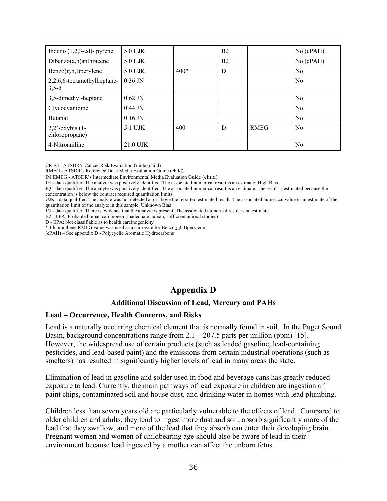| Indeno $(1,2,3$ -cd)- pyrene              | 5.0 UJK   |        | B <sub>2</sub> |             | $No$ (cPAH)    |
|-------------------------------------------|-----------|--------|----------------|-------------|----------------|
| $Dibenzo(a,h)$ anthracene                 | 5.0 UJK   |        | B <sub>2</sub> |             | $No$ (cPAH)    |
| Benzo(g,h,I)perylene                      | 5.0 UJK   | $400*$ | D              |             | N <sub>0</sub> |
| $2,2,6,6$ -tetramethylheptane-<br>$3,5-d$ | $0.36$ JN |        |                |             | N <sub>0</sub> |
| 3,5-dimethyl-heptane                      | $0.62$ JN |        |                |             | N <sub>0</sub> |
| Glycocyanidine                            | $0.44$ JN |        |                |             | N <sub>0</sub> |
| <b>Butanal</b>                            | $0.16$ JN |        |                |             | N <sub>0</sub> |
| $2,2$ '-oxybis (1-<br>chloropropane)      | 5.1 UJK   | 400    | D              | <b>RMEG</b> | N <sub>0</sub> |
| 4-Nitroaniline                            | 21.0 UJK  |        |                |             | N <sub>0</sub> |

CREG - ATSDR's Cancer Risk Evaluation Guide (child)

RMEG - ATSDR's Reference Dose Media Evaluation Guide (child)

IM EMEG - ATSDR's Intermediate Environmental Media Evaluation Guide (child)

JH - data qualifier: The analyte was positively identified. The associated numerical result is an estimate. High Bias

JQ - data qualifier: The analyte was positively identified. The associated numerical result is an estimate. The result is estimated because the concentration is below the contract required quantitation limits

UJK - data qualifier: The analyte was not detected at or above the reported estimated result. The associated numerical value is an estimate of the quantitation limit of the analyte in this sample. Unknown Bias

JN - data qualifier: There is evidence that the analyte is present. The associated numerical result is an estimate

B2 - EPA: Probable human carcinogen (inadequate human, sufficient animal studies)

D - EPA: Not classifiable as to health carcinogenicity

\* Fluoranthene RMEG value was used as a surrogate for Benzo(g,h,I)perylene

(cPAH) – See appendix D - Polycyclic Aromatic Hydrocarbons

## **Appendix D**

#### **Additional Discussion of Lead, Mercury and PAHs**

#### **Lead – Occurrence, Health Concerns, and Risks**

Lead is a naturally occurring chemical element that is normally found in soil. In the Puget Sound Basin, background concentrations range from  $2.1 - 207.5$  parts per million (ppm) [15]. However, the widespread use of certain products (such as leaded gasoline, lead-containing pesticides, and lead-based paint) and the emissions from certain industrial operations (such as smelters) has resulted in significantly higher levels of lead in many areas the state.

Elimination of lead in gasoline and solder used in food and beverage cans has greatly reduced exposure to lead. Currently, the main pathways of lead exposure in children are ingestion of paint chips, contaminated soil and house dust, and drinking water in homes with lead plumbing.

Children less than seven years old are particularly vulnerable to the effects of lead. Compared to older children and adults, they tend to ingest more dust and soil, absorb significantly more of the lead that they swallow, and more of the lead that they absorb can enter their developing brain. Pregnant women and women of childbearing age should also be aware of lead in their environment because lead ingested by a mother can affect the unborn fetus.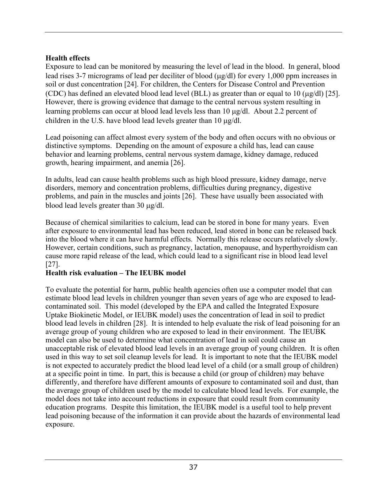#### **Health effects**

Exposure to lead can be monitored by measuring the level of lead in the blood. In general, blood lead rises 3-7 micrograms of lead per deciliter of blood (µg/dl) for every 1,000 ppm increases in soil or dust concentration [24]. For children, the Centers for Disease Control and Prevention (CDC) has defined an elevated blood lead level (BLL) as greater than or equal to 10 ( $\mu$ g/dl) [25]. However, there is growing evidence that damage to the central nervous system resulting in learning problems can occur at blood lead levels less than 10 µg/dl. About 2.2 percent of children in the U.S. have blood lead levels greater than 10  $\mu$ g/dl.

Lead poisoning can affect almost every system of the body and often occurs with no obvious or distinctive symptoms. Depending on the amount of exposure a child has, lead can cause behavior and learning problems, central nervous system damage, kidney damage, reduced growth, hearing impairment, and anemia [26].

In adults, lead can cause health problems such as high blood pressure, kidney damage, nerve disorders, memory and concentration problems, difficulties during pregnancy, digestive problems, and pain in the muscles and joints [26]. These have usually been associated with blood lead levels greater than 30 µg/dl.

Because of chemical similarities to calcium, lead can be stored in bone for many years. Even after exposure to environmental lead has been reduced, lead stored in bone can be released back into the blood where it can have harmful effects. Normally this release occurs relatively slowly. However, certain conditions, such as pregnancy, lactation, menopause, and hyperthyroidism can cause more rapid release of the lead, which could lead to a significant rise in blood lead level [27].

### **Health risk evaluation – The IEUBK model**

To evaluate the potential for harm, public health agencies often use a computer model that can estimate blood lead levels in children younger than seven years of age who are exposed to leadcontaminated soil. This model (developed by the EPA and called the Integrated Exposure Uptake Biokinetic Model, or IEUBK model) uses the concentration of lead in soil to predict blood lead levels in children [28]. It is intended to help evaluate the risk of lead poisoning for an average group of young children who are exposed to lead in their environment. The IEUBK model can also be used to determine what concentration of lead in soil could cause an unacceptable risk of elevated blood lead levels in an average group of young children. It is often used in this way to set soil cleanup levels for lead. It is important to note that the IEUBK model is not expected to accurately predict the blood lead level of a child (or a small group of children) at a specific point in time. In part, this is because a child (or group of children) may behave differently, and therefore have different amounts of exposure to contaminated soil and dust, than the average group of children used by the model to calculate blood lead levels. For example, the model does not take into account reductions in exposure that could result from community education programs. Despite this limitation, the IEUBK model is a useful tool to help prevent lead poisoning because of the information it can provide about the hazards of environmental lead exposure.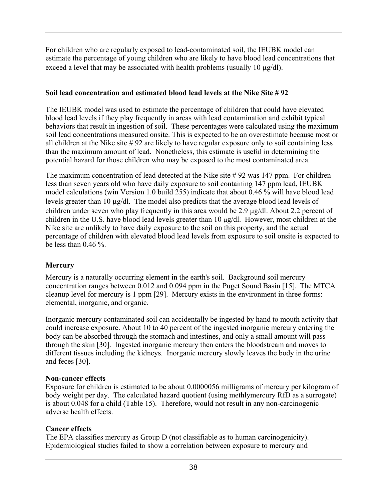For children who are regularly exposed to lead-contaminated soil, the IEUBK model can estimate the percentage of young children who are likely to have blood lead concentrations that exceed a level that may be associated with health problems (usually 10  $\mu$ g/dl).

### **Soil lead concentration and estimated blood lead levels at the Nike Site # 92**

The IEUBK model was used to estimate the percentage of children that could have elevated blood lead levels if they play frequently in areas with lead contamination and exhibit typical behaviors that result in ingestion of soil. These percentages were calculated using the maximum soil lead concentrations measured onsite. This is expected to be an overestimate because most or all children at the Nike site # 92 are likely to have regular exposure only to soil containing less than the maximum amount of lead. Nonetheless, this estimate is useful in determining the potential hazard for those children who may be exposed to the most contaminated area.

The maximum concentration of lead detected at the Nike site # 92 was 147 ppm. For children less than seven years old who have daily exposure to soil containing 147 ppm lead, IEUBK model calculations (win Version 1.0 build 255) indicate that about 0.46 % will have blood lead levels greater than 10 µg/dl. The model also predicts that the average blood lead levels of children under seven who play frequently in this area would be 2.9 µg/dl. About 2.2 percent of children in the U.S. have blood lead levels greater than 10 µg/dl. However, most children at the Nike site are unlikely to have daily exposure to the soil on this property, and the actual percentage of children with elevated blood lead levels from exposure to soil onsite is expected to be less than  $0.46\%$ .

### **Mercury**

Mercury is a naturally occurring element in the earth's soil. Background soil mercury concentration ranges between 0.012 and 0.094 ppm in the Puget Sound Basin [15]. The MTCA cleanup level for mercury is 1 ppm [29]. Mercury exists in the environment in three forms: elemental, inorganic, and organic.

Inorganic mercury contaminated soil can accidentally be ingested by hand to mouth activity that could increase exposure. About 10 to 40 percent of the ingested inorganic mercury entering the body can be absorbed through the stomach and intestines, and only a small amount will pass through the skin [30]. Ingested inorganic mercury then enters the bloodstream and moves to different tissues including the kidneys. Inorganic mercury slowly leaves the body in the urine and feces [30].

### **Non-cancer effects**

Exposure for children is estimated to be about 0.0000056 milligrams of mercury per kilogram of body weight per day. The calculated hazard quotient (using methlymercury RfD as a surrogate) is about 0.048 for a child (Table 15). Therefore, would not result in any non-carcinogenic adverse health effects.

### **Cancer effects**

The EPA classifies mercury as Group D (not classifiable as to human carcinogenicity). Epidemiological studies failed to show a correlation between exposure to mercury and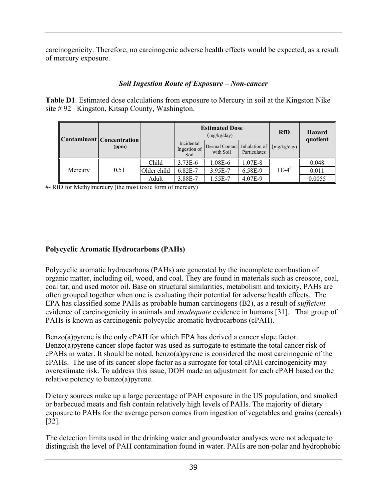carcinogenicity. Therefore, no carcinogenic adverse health effects would be expected, as a result of mercury exposure.

### *Soil Ingestion Route of Exposure – Non-cancer*

**Table D1**. Estimated dose calculations from exposure to Mercury in soil at the Kingston Nike site # 92– Kingston, Kitsap County, Washington.

|         | Contaminant   Concentration |             |                                    | <b>Estimated Dose</b><br>(mg/kg/day)      | <b>RfD</b>   | <b>Hazard</b><br>quotient |        |
|---------|-----------------------------|-------------|------------------------------------|-------------------------------------------|--------------|---------------------------|--------|
|         | (ppm)                       |             | Incidental<br>Ingestion of<br>Soil | Dermal Contact Inhalation of<br>with Soil | Particulates | (mg/kg/day)               |        |
|         |                             | Child       | $3.73E-6$                          | 1.08E-6                                   | 1.07E-8      |                           | 0.048  |
| Mercury | 0.51                        | Older child | 6.82E-7                            | 3.95E-7                                   | 6.58E-9      | $1E-4$ <sup>#</sup>       | 0.011  |
|         |                             | Adult       | 3.88E-7                            | 1.55E-7                                   | 4.07E-9      |                           | 0.0055 |

#- RfD for Methylmercury (the most toxic form of mercury)

### **Polycyclic Aromatic Hydrocarbons (PAHs)**

Polycyclic aromatic hydrocarbons (PAHs) are generated by the incomplete combustion of organic matter, including oil, wood, and coal. They are found in materials such as creosote, coal, coal tar, and used motor oil. Base on structural similarities, metabolism and toxicity, PAHs are often grouped together when one is evaluating their potential for adverse health effects. The EPA has classified some PAHs as probable human carcinogens (B2), as a result of *sufficient* evidence of carcinogenicity in animals and *inadequate* evidence in humans [31]. That group of PAHs is known as carcinogenic polycyclic aromatic hydrocarbons (cPAH).

Benzo(a)pyrene is the only cPAH for which EPA has derived a cancer slope factor. Benzo(a)pyrene cancer slope factor was used as surrogate to estimate the total cancer risk of cPAHs in water. It should be noted, benzo(a)pyrene is considered the most carcinogenic of the cPAHs. The use of its cancer slope factor as a surrogate for total cPAH carcinogenicity may overestimate risk. To address this issue, DOH made an adjustment for each cPAH based on the relative potency to benzo(a)pyrene.

Dietary sources make up a large percentage of PAH exposure in the US population, and smoked or barbecued meats and fish contain relatively high levels of PAHs. The majority of dietary exposure to PAHs for the average person comes from ingestion of vegetables and grains (cereals) [32].

The detection limits used in the drinking water and groundwater analyses were not adequate to distinguish the level of PAH contamination found in water. PAHs are non-polar and hydrophobic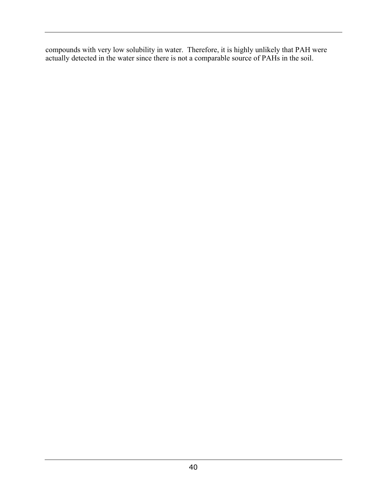compounds with very low solubility in water. Therefore, it is highly unlikely that PAH were actually detected in the water since there is not a comparable source of PAHs in the soil.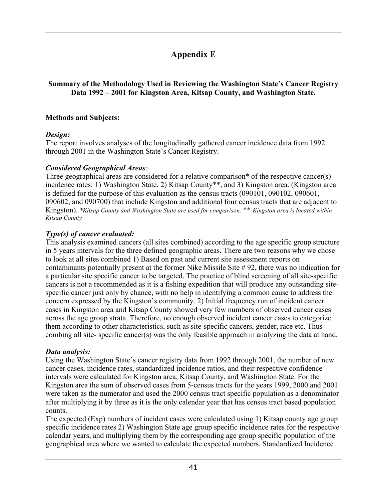# **Appendix E**

#### **Summary of the Methodology Used in Reviewing the Washington State's Cancer Registry Data 1992 – 2001 for Kingston Area, Kitsap County, and Washington State.**

#### **Methods and Subjects:**

#### *Design:*

The report involves analyses of the longitudinally gathered cancer incidence data from 1992 through 2001 in the Washington State's Cancer Registry.

#### *Considered Geographical Areas:*

Three geographical areas are considered for a relative comparison<sup>\*</sup> of the respective cancer(s) incidence rates: 1) Washington State, 2) Kitsap County<sup>\*\*</sup>, and 3) Kingston area. (Kingston area is defined for the purpose of this evaluation as the census tracts (090101, 090102, 090601, 090602, and 090700) that include Kingston and additional four census tracts that are adjacent to Kingston). *\*Kitsap County and Washington State are used for comparison.* \*\* *Kingston area is located within Kitsap County* 

### *Type(s) of cancer evaluated:*

This analysis examined cancers (all sites combined) according to the age specific group structure in 5 years intervals for the three defined geographic areas. There are two reasons why we chose to look at all sites combined 1) Based on past and current site assessment reports on contaminants potentially present at the former Nike Missile Site # 92, there was no indication for a particular site specific cancer to be targeted. The practice of blind screening of all site-specific cancers is not a recommended as it is a fishing expedition that will produce any outstanding sitespecific cancer just only by chance, with no help in identifying a common cause to address the concern expressed by the Kingston's community. 2) Initial frequency run of incident cancer cases in Kingston area and Kitsap County showed very few numbers of observed cancer cases across the age group strata. Therefore, no enough observed incident cancer cases to categorize them according to other characteristics, such as site-specific cancers, gender, race etc. Thus combing all site- specific cancer(s) was the only feasible approach in analyzing the data at hand.

### *Data analysis:*

Using the Washington State's cancer registry data from 1992 through 2001, the number of new cancer cases, incidence rates, standardized incidence ratios, and their respective confidence intervals were calculated for Kingston area, Kitsap County, and Washington State. For the Kingston area the sum of observed cases from 5-census tracts for the years 1999, 2000 and 2001 were taken as the numerator and used the 2000 census tract specific population as a denominator after multiplying it by three as it is the only calendar year that has census tract based population counts.

The expected (Exp) numbers of incident cases were calculated using 1) Kitsap county age group specific incidence rates 2) Washington State age group specific incidence rates for the respective calendar years, and multiplying them by the corresponding age group specific population of the geographical area where we wanted to calculate the expected numbers. Standardized Incidence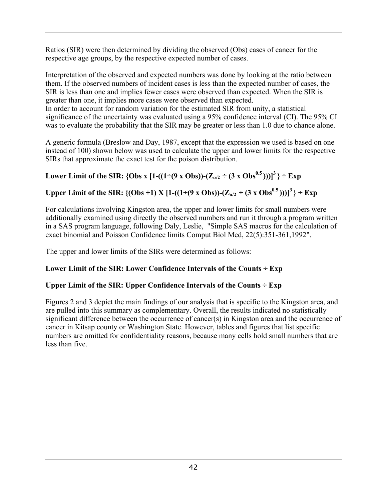Ratios (SIR) were then determined by dividing the observed (Obs) cases of cancer for the respective age groups, by the respective expected number of cases.

Interpretation of the observed and expected numbers was done by looking at the ratio between them. If the observed numbers of incident cases is less than the expected number of cases, the SIR is less than one and implies fewer cases were observed than expected. When the SIR is greater than one, it implies more cases were observed than expected. In order to account for random variation for the estimated SIR from unity, a statistical

significance of the uncertainty was evaluated using a 95% confidence interval (CI). The 95% CI was to evaluate the probability that the SIR may be greater or less than 1.0 due to chance alone.

A generic formula (Breslow and Day, 1987, except that the expression we used is based on one instead of 100) shown below was used to calculate the upper and lower limits for the respective SIRs that approximate the exact test for the poison distribution.

**Lower Limit of the SIR: {Obs x**  $[1-((1-(9 \times 0bs))-(Z_{\alpha/2} \div (3 \times 0bs^{0.5})))]^3$  **}**  $\div$  **<b>Exp** 

**Upper Limit of the SIR:**  $\{(\text{Obs} + 1) \times [1-(1+(9 \times \text{Obs}))-(\mathbb{Z}_{q/2} \div (3 \times \text{Obs}^{0.5})))]\}^3\}$  ÷ Exp

For calculations involving Kingston area, the upper and lower limits for small numbers were additionally examined using directly the observed numbers and run it through a program written in a SAS program language, following Daly, Leslie, "Simple SAS macros for the calculation of exact binomial and Poisson Confidence limits Comput Biol Med, 22(5):351-361,1992".

The upper and lower limits of the SIRs were determined as follows:

### **Lower Limit of the SIR: Lower Confidence Intervals of the Counts ÷ Exp**

## **Upper Limit of the SIR: Upper Confidence Intervals of the Counts ÷ Exp**

Figures 2 and 3 depict the main findings of our analysis that is specific to the Kingston area, and are pulled into this summary as complementary. Overall, the results indicated no statistically significant difference between the occurrence of cancer(s) in Kingston area and the occurrence of cancer in Kitsap county or Washington State. However, tables and figures that list specific numbers are omitted for confidentiality reasons, because many cells hold small numbers that are less than five.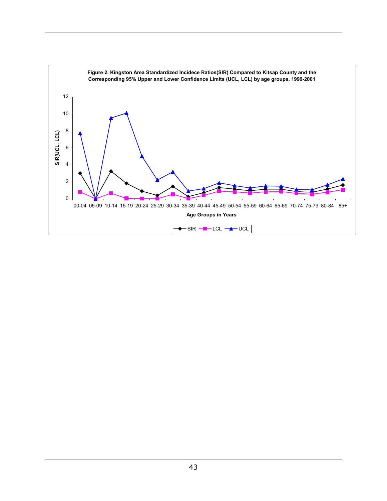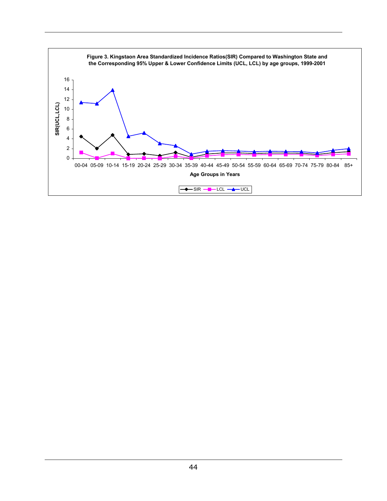